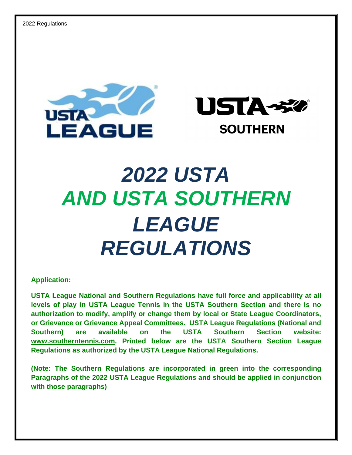



# *2022 USTA AND USTA SOUTHERN LEAGUE REGULATIONS*

**Application:**

**USTA League National and Southern Regulations have full force and applicability at all levels of play in USTA League Tennis in the USTA Southern Section and there is no authorization to modify, amplify or change them by local or State League Coordinators, or Grievance or Grievance Appeal Committees. USTA League Regulations (National and Southern) are available on the USTA Southern Section website: [www.southerntennis.com.](http://www.southerntennis.com/) Printed below are the USTA Southern Section League Regulations as authorized by the USTA League National Regulations.**

**(Note: The Southern Regulations are incorporated in green into the corresponding Paragraphs of the 2022 USTA League Regulations and should be applied in conjunction with those paragraphs)**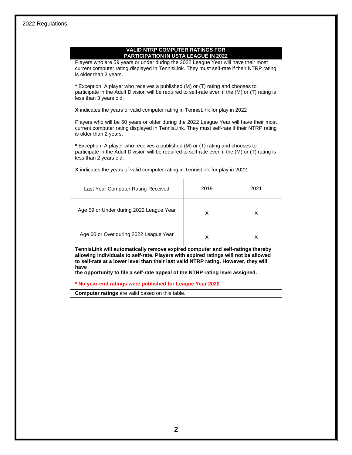| Players who are 59 years or under during the 2022 League Year will have their most<br>current computer rating displayed in TennisLink. They must self-rate if their NTRP rating<br>is older than 3 years.                                                            |      |      |
|----------------------------------------------------------------------------------------------------------------------------------------------------------------------------------------------------------------------------------------------------------------------|------|------|
| * Exception: A player who receives a published (M) or (T) rating and chooses to<br>participate in the Adult Division will be required to self-rate even if the (M) or (T) rating is<br>less than 3 years old.                                                        |      |      |
| X indicates the years of valid computer rating in TennisLink for play in 2022                                                                                                                                                                                        |      |      |
| Players who will be 60 years or older during the 2022 League Year will have their most<br>current computer rating displayed in TennisLink. They must self-rate if their NTRP rating<br>is older than 2 years.                                                        |      |      |
| * Exception: A player who receives a published (M) or (T) rating and chooses to<br>participate in the Adult Division will be required to self-rate even if the (M) or (T) rating is<br>less than 2 years old.                                                        |      |      |
| X indicates the years of valid computer rating in TennisLink for play in 2022.                                                                                                                                                                                       |      |      |
| Last Year Computer Rating Received                                                                                                                                                                                                                                   | 2019 | 2021 |
| Age 59 or Under during 2022 League Year                                                                                                                                                                                                                              | X    | X    |
| Age 60 or Over during 2022 League Year                                                                                                                                                                                                                               | X    | X    |
| TennisLink will automatically remove expired computer and self-ratings thereby<br>allowing individuals to self-rate. Players with expired ratings will not be allowed<br>to self-rate at a lower level than their last valid NTRP rating. However, they will<br>have |      |      |
| the opportunity to file a self-rate appeal of the NTRP rating level assigned.                                                                                                                                                                                        |      |      |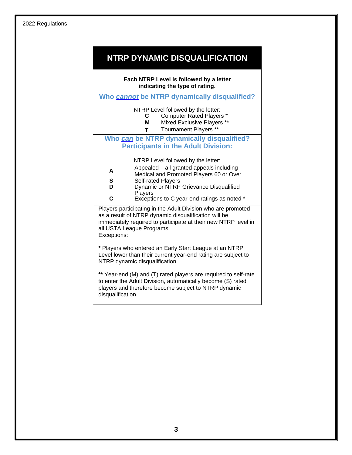# **NTRP DYNAMIC DISQUALIFICATION**

| Each NTRP Level is followed by a letter<br>indicating the type of rating.                                                                                                                                                          |                                                                                                                                                      |  |  |  |
|------------------------------------------------------------------------------------------------------------------------------------------------------------------------------------------------------------------------------------|------------------------------------------------------------------------------------------------------------------------------------------------------|--|--|--|
|                                                                                                                                                                                                                                    | Who cannot be NTRP dynamically disqualified?                                                                                                         |  |  |  |
|                                                                                                                                                                                                                                    | NTRP Level followed by the letter:<br><b>Computer Rated Players *</b><br>C.<br>Mixed Exclusive Players **<br>Μ<br><b>Tournament Players **</b><br>T. |  |  |  |
|                                                                                                                                                                                                                                    | Who can be NTRP dynamically disqualified?                                                                                                            |  |  |  |
|                                                                                                                                                                                                                                    | <b>Participants in the Adult Division:</b>                                                                                                           |  |  |  |
|                                                                                                                                                                                                                                    | NTRP Level followed by the letter:                                                                                                                   |  |  |  |
| A                                                                                                                                                                                                                                  | Appealed - all granted appeals including                                                                                                             |  |  |  |
| S                                                                                                                                                                                                                                  | Medical and Promoted Players 60 or Over<br>Self-rated Players                                                                                        |  |  |  |
| D                                                                                                                                                                                                                                  | Dynamic or NTRP Grievance Disqualified                                                                                                               |  |  |  |
| C                                                                                                                                                                                                                                  | <b>Players</b><br>Exceptions to C year-end ratings as noted *                                                                                        |  |  |  |
| Players participating in the Adult Division who are promoted<br>as a result of NTRP dynamic disqualification will be<br>immediately required to participate at their new NTRP level in<br>all USTA League Programs.<br>Exceptions: |                                                                                                                                                      |  |  |  |
| * Players who entered an Early Start League at an NTRP<br>Level lower than their current year-end rating are subject to<br>NTRP dynamic disqualification.                                                                          |                                                                                                                                                      |  |  |  |
| ** Year-end (M) and (T) rated players are required to self-rate<br>to enter the Adult Division, automatically become (S) rated<br>players and therefore become subject to NTRP dynamic<br>disqualification.                        |                                                                                                                                                      |  |  |  |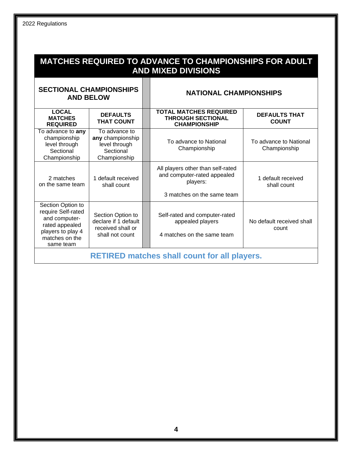| <b>MATCHES REQUIRED TO ADVANCE TO CHAMPIONSHIPS FOR ADULT</b><br><b>AND MIXED DIVISIONS</b>                                    |                                                                                   |  |                                                                                                            |                                        |
|--------------------------------------------------------------------------------------------------------------------------------|-----------------------------------------------------------------------------------|--|------------------------------------------------------------------------------------------------------------|----------------------------------------|
| <b>SECTIONAL CHAMPIONSHIPS</b><br><b>AND BELOW</b>                                                                             |                                                                                   |  | <b>NATIONAL CHAMPIONSHIPS</b>                                                                              |                                        |
| <b>LOCAL</b><br><b>MATCHES</b><br><b>REQUIRED</b>                                                                              | <b>DEFAULTS</b><br><b>THAT COUNT</b>                                              |  | <b>TOTAL MATCHES REQUIRED</b><br><b>THROUGH SECTIONAL</b><br><b>CHAMPIONSHIP</b>                           | <b>DEFAULTS THAT</b><br><b>COUNT</b>   |
| To advance to any<br>championship<br>level through<br>Sectional<br>Championship                                                | To advance to<br>any championship<br>level through<br>Sectional<br>Championship   |  | To advance to National<br>Championship                                                                     | To advance to National<br>Championship |
| 2 matches<br>on the same team                                                                                                  | 1 default received<br>shall count                                                 |  | All players other than self-rated<br>and computer-rated appealed<br>players:<br>3 matches on the same team | 1 default received<br>shall count      |
| Section Option to<br>require Self-rated<br>and computer-<br>rated appealed<br>players to play 4<br>matches on the<br>same team | Section Option to<br>declare if 1 default<br>received shall or<br>shall not count |  | Self-rated and computer-rated<br>appealed players<br>4 matches on the same team                            | No default received shall<br>count     |
| <b>RETIRED matches shall count for all players.</b>                                                                            |                                                                                   |  |                                                                                                            |                                        |

### **4**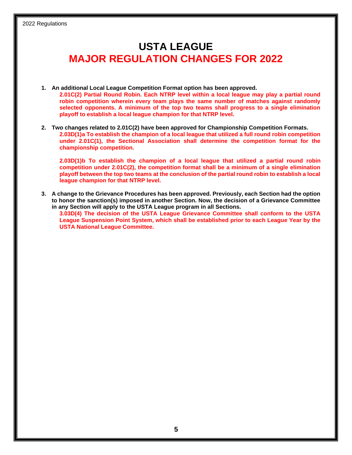# **USTA LEAGUE MAJOR REGULATION CHANGES FOR 2022**

- **1. An additional Local League Competition Format option has been approved. 2.01C(2) Partial Round Robin. Each NTRP level within a local league may play a partial round robin competition wherein every team plays the same number of matches against randomly selected opponents. A minimum of the top two teams shall progress to a single elimination playoff to establish a local league champion for that NTRP level.**
- **2. Two changes related to 2.01C(2) have been approved for Championship Competition Formats. 2.03D(1)a To establish the champion of a local league that utilized a full round robin competition under 2.01C(1), the Sectional Association shall determine the competition format for the championship competition.**

**2.03D(1)b To establish the champion of a local league that utilized a partial round robin competition under 2.01C(2), the competition format shall be a minimum of a single elimination playoff between the top two teams at the conclusion of the partial round robin to establish a local league champion for that NTRP level.**

**3. A change to the Grievance Procedures has been approved. Previously, each Section had the option to honor the sanction(s) imposed in another Section. Now, the decision of a Grievance Committee in any Section will apply to the USTA League program in all Sections.** 

**3.03D(4) The decision of the USTA League Grievance Committee shall conform to the USTA League Suspension Point System, which shall be established prior to each League Year by the USTA National League Committee.**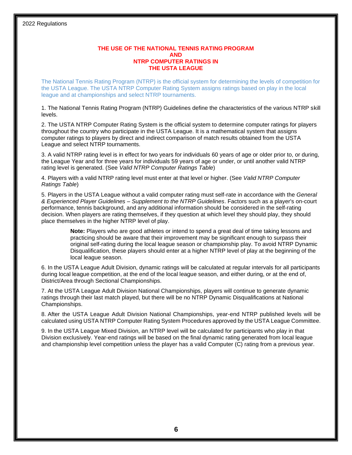#### **THE USE OF THE NATIONAL TENNIS RATING PROGRAM AND NTRP COMPUTER RATINGS IN THE USTA LEAGUE**

The National Tennis Rating Program (NTRP) is the official system for determining the levels of competition for the USTA League. The USTA NTRP Computer Rating System assigns ratings based on play in the local league and at championships and select NTRP tournaments.

1. The National Tennis Rating Program (NTRP) Guidelines define the characteristics of the various NTRP skill levels.

2. The USTA NTRP Computer Rating System is the official system to determine computer ratings for players throughout the country who participate in the USTA League. It is a mathematical system that assigns computer ratings to players by direct and indirect comparison of match results obtained from the USTA League and select NTRP tournaments.

3. A valid NTRP rating level is in effect for two years for individuals 60 years of age or older prior to, or during, the League Year and for three years for individuals 59 years of age or under, or until another valid NTRP rating level is generated. (See *Valid NTRP Computer Ratings Table*)

4. Players with a valid NTRP rating level must enter at that level or higher. (See *Valid NTRP Computer Ratings Table*)

5. Players in the USTA League without a valid computer rating must self-rate in accordance with the *General & Experienced Player Guidelines – Supplement to the NTRP Guidelines*. Factors such as a player's on-court performance, tennis background, and any additional information should be considered in the self-rating decision. When players are rating themselves, if they question at which level they should play, they should place themselves in the higher NTRP level of play.

> **Note:** Players who are good athletes or intend to spend a great deal of time taking lessons and practicing should be aware that their improvement may be significant enough to surpass their original self-rating during the local league season or championship play. To avoid NTRP Dynamic Disqualification, these players should enter at a higher NTRP level of play at the beginning of the local league season.

6. In the USTA League Adult Division, dynamic ratings will be calculated at regular intervals for all participants during local league competition, at the end of the local league season, and either during, or at the end of, District/Area through Sectional Championships.

7. At the USTA League Adult Division National Championships, players will continue to generate dynamic ratings through their last match played, but there will be no NTRP Dynamic Disqualifications at National Championships.

8. After the USTA League Adult Division National Championships, year-end NTRP published levels will be calculated using USTA NTRP Computer Rating System Procedures approved by the USTA League Committee.

9. In the USTA League Mixed Division, an NTRP level will be calculated for participants who play in that Division exclusively. Year-end ratings will be based on the final dynamic rating generated from local league and championship level competition unless the player has a valid Computer (C) rating from a previous year.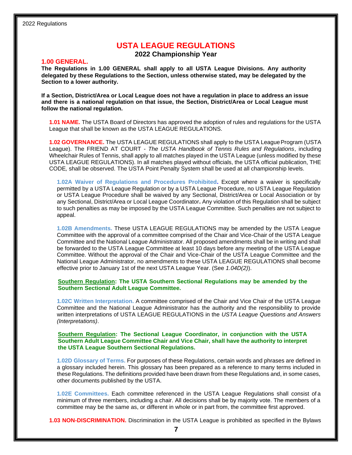## **USTA LEAGUE REGULATIONS**

**2022 Championship Year**

#### **1.00 GENERAL.**

**The Regulations in 1.00 GENERAL shall apply to all USTA League Divisions. Any authority delegated by these Regulations to the Section, unless otherwise stated, may be delegated by the Section to a lower authority.**

**If a Section, District/Area or Local League does not have a regulation in place to address an issue and there is a national regulation on that issue, the Section, District/Area or Local League must follow the national regulation.**

**1.01 NAME.** The USTA Board of Directors has approved the adoption of rules and regulations for the USTA League that shall be known as the USTA LEAGUE REGULATIONS.

**1.02 GOVERNANCE.** The USTA LEAGUE REGULATIONS shall apply to the USTA League Program (USTA League). The FRIEND AT COURT *- The USTA Handbook of Tennis Rules and Regulations*, including Wheelchair Rules of Tennis, shall apply to all matches played in the USTA League (unless modified by these USTA LEAGUE REGULATIONS). In all matches played without officials, the USTA official publication, THE CODE*,* shall be observed. The USTA Point Penalty System shall be used at all championship levels.

**1.02A Waiver of Regulations and Procedures Prohibited.** Except where a waiver is specifically permitted by a USTA League Regulation or by a USTA League Procedure, no USTA League Regulation or USTA League Procedure shall be waived by any Sectional, District/Area or Local Association or by any Sectional, District/Area or Local League Coordinator**.** Any violation of this Regulation shall be subject to such penalties as may be imposed by the USTA League Committee. Such penalties are not subject to appeal.

**1.02B Amendments.** These USTA LEAGUE REGULATIONS may be amended by the USTA League Committee with the approval of a committee comprised of the Chair and Vice-Chair of the USTA League Committee and the National League Administrator. All proposed amendments shall be in writing and shall be forwarded to the USTA League Committee at least 10 days before any meeting of the USTA League Committee. Without the approval of the Chair and Vice-Chair of the USTA League Committee and the National League Administrator, no amendments to these USTA LEAGUE REGULATIONS shall become effective prior to January 1st of the next USTA League Year. (See *1.04D(2)*).

**Southern Regulation: The USTA Southern Sectional Regulations may be amended by the Southern Sectional Adult League Committee.**

**1.02C Written Interpretation.** A committee comprised of the Chair and Vice Chair of the USTA League Committee and the National League Administrator has the authority and the responsibility to provide written interpretations of USTA LEAGUE REGULATIONS in the *USTA League Questions and Answers (Interpretations)*.

#### **Southern Regulation: The Sectional League Coordinator, in conjunction with the USTA Southern Adult League Committee Chair and Vice Chair, shall have the authority to interpret the USTA League Southern Sectional Regulations.**

**1.02D Glossary of Terms.** For purposes of these Regulations, certain words and phrases are defined in a glossary included herein. This glossary has been prepared as a reference to many terms included in these Regulations. The definitions provided have been drawn from these Regulations and, in some cases, other documents published by the USTA.

**1.02E Committees.** Each committee referenced in the USTA League Regulations shall consist of a minimum of three members, including a chair. All decisions shall be by majority vote. The members of a committee may be the same as, or different in whole or in part from, the committee first approved.

**1.03 NON-DISCRIMINATION.** Discrimination in the USTA League is prohibited as specified in the Bylaws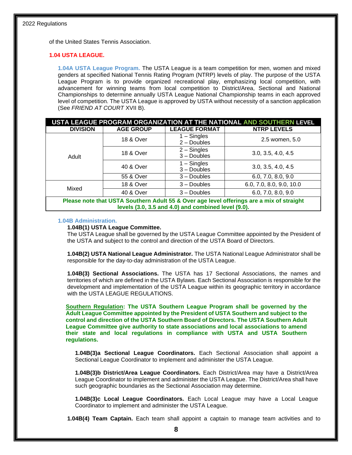of the United States Tennis Association.

#### **1.04 USTA LEAGUE.**

**1.04A USTA League Program.** The USTA League is a team competition for men, women and mixed genders at specified National Tennis Rating Program (NTRP) levels of play. The purpose of the USTA League Program is to provide organized recreational play, emphasizing local competition, with advancement for winning teams from local competition to District/Area, Sectional and National Championships to determine annually USTA League National Championship teams in each approved level of competition. The USTA League is approved by USTA without necessity of a sanction application (See *FRIEND AT COURT* XVII B).

| USTA LEAGUE PROGRAM ORGANIZATION AT THE NATIONAL AND SOUTHERN LEVEL                                                                             |                      |                                |                          |  |
|-------------------------------------------------------------------------------------------------------------------------------------------------|----------------------|--------------------------------|--------------------------|--|
| <b>DIVISION</b>                                                                                                                                 | <b>AGE GROUP</b>     | <b>LEAGUE FORMAT</b>           | <b>NTRP LEVELS</b>       |  |
|                                                                                                                                                 | <b>18 &amp; Over</b> | $1 -$ Singles<br>$2 -$ Doubles | 2.5 women, 5.0           |  |
| Adult                                                                                                                                           | <b>18 &amp; Over</b> | $2 -$ Singles<br>$3 -$ Doubles | 3.0, 3.5, 4.0, 4.5       |  |
|                                                                                                                                                 | 40 & Over            | $1 -$ Singles<br>$3 -$ Doubles | 3.0, 3.5, 4.0, 4.5       |  |
|                                                                                                                                                 | 55 & Over            | $3 -$ Doubles                  | 6.0, 7.0, 8.0, 9.0       |  |
| Mixed                                                                                                                                           | <b>18 &amp; Over</b> | $3 -$ Doubles                  | 6.0, 7.0, 8.0, 9.0, 10.0 |  |
|                                                                                                                                                 | 40 & Over            | $3 -$ Doubles                  | 6.0, 7.0, 8.0, 9.0       |  |
| Please note that USTA Southern Adult 55 & Over age level offerings are a mix of straight<br>levels (3.0, 3.5 and 4.0) and combined level (9.0). |                      |                                |                          |  |

#### **1.04B Administration.**

#### **1.04B(1) USTA League Committee.**

The USTA League shall be governed by the USTA League Committee appointed by the President of the USTA and subject to the control and direction of the USTA Board of Directors.

**1.04B(2) USTA National League Administrator.** The USTA National League Administrator shall be responsible for the day-to-day administration of the USTA League.

**1.04B(3) Sectional Associations.** The USTA has 17 Sectional Associations, the names and territories of which are defined in the USTA Bylaws. Each Sectional Association is responsible for the development and implementation of the USTA League within its geographic territory in accordance with the USTA LEAGUE REGULATIONS.

**Southern Regulation: The USTA Southern League Program shall be governed by the Adult League Committee appointed by the President of USTA Southern and subject to the control and direction of the USTA Southern Board of Directors. The USTA Southern Adult League Committee give authority to state associations and local associations to amend their state and local regulations in compliance with USTA and USTA Southern regulations.** 

**1.04B(3)a Sectional League Coordinators.** Each Sectional Association shall appoint a Sectional League Coordinator to implement and administer the USTA League.

**1.04B(3)b District/Area League Coordinators.** Each District/Area may have a District/Area League Coordinator to implement and administer the USTA League. The District/Area shall have such geographic boundaries as the Sectional Association may determine.

**1.04B(3)c Local League Coordinators.** Each Local League may have a Local League Coordinator to implement and administer the USTA League.

**1.04B(4) Team Captain.** Each team shall appoint a captain to manage team activities and to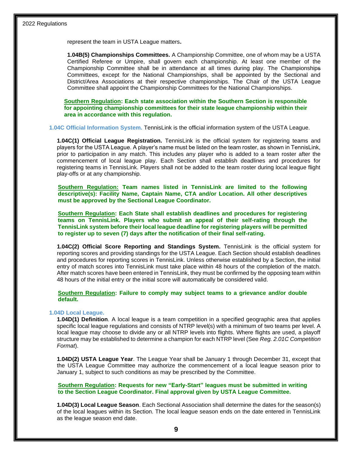represent the team in USTA League matters**.**

**1.04B(5) Championships Committees.** A Championship Committee, one of whom may be a USTA Certified Referee or Umpire, shall govern each championship. At least one member of the Championship Committee shall be in attendance at all times during play. The Championships Committees, except for the National Championships, shall be appointed by the Sectional and District/Area Associations at their respective championships. The Chair of the USTA League Committee shall appoint the Championship Committees for the National Championships.

**Southern Regulation: Each state association within the Southern Section is responsible for appointing championship committees for their state league championship within their area in accordance with this regulation.**

**1.04C Official Information System.** TennisLink is the official information system of the USTA League.

**1.04C(1) Official League Registration.** TennisLink is the official system for registering teams and players for the USTA League. A player's name must be listed on the team roster, as shown in TennisLink, prior to participation in any match. This includes any player who is added to a team roster after the commencement of local league play. Each Section shall establish deadlines and procedures for registering teams in TennisLink. Players shall not be added to the team roster during local league flight play-offs or at any championship.

**Southern Regulation: Team names listed in TennisLink are limited to the following descriptive(s): Facility Name, Captain Name, CTA and/or Location. All other descriptives must be approved by the Sectional League Coordinator.**

**Southern Regulation: Each State shall establish deadlines and procedures for registering teams on TennisLink. Players who submit an appeal of their self-rating through the TennisLink system before their local league deadline for registering players will be permitted to register up to seven (7) days after the notification of their final self-rating.**

**1.04C(2) Official Score Reporting and Standings System.** TennisLink is the official system for reporting scores and providing standings for the USTA League. Each Section should establish deadlines and procedures for reporting scores in TennisLink. Unless otherwise established by a Section, the initial entry of match scores into TennisLink must take place within 48 hours of the completion of the match. After match scores have been entered in TennisLink, they must be confirmed by the opposing team within 48 hours of the initial entry or the initial score will automatically be considered valid.

**Southern Regulation: Failure to comply may subject teams to a grievance and/or double default.**

#### **1.04D Local League.**

**1.04D(1) Definition**. A local league is a team competition in a specified geographic area that applies specific local league regulations and consists of NTRP level(s) with a minimum of two teams per level. A local league may choose to divide any or all NTRP levels into flights. Where flights are used, a playoff structure may be established to determine a champion for each NTRP level (See *Reg. 2.01C Competition Format*).

**1.04D(2) USTA League Year**. The League Year shall be January 1 through December 31, except that the USTA League Committee may authorize the commencement of a local league season prior to January 1, subject to such conditions as may be prescribed by the Committee.

**Southern Regulation: Requests for new "Early-Start" leagues must be submitted in writing to the Section League Coordinator. Final approval given by USTA League Committee.** 

**1.04D(3) Local League Season**. Each Sectional Association shall determine the dates for the season(s) of the local leagues within its Section. The local league season ends on the date entered in TennisLink as the league season end date.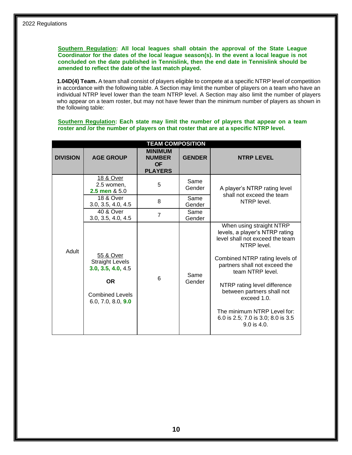**Southern Regulation: All local leagues shall obtain the approval of the State League Coordinator for the dates of the local league season(s). In the event a local league is not concluded on the date published in Tennislink, then the end date in Tennislink should be amended to reflect the date of the last match played.**

**1.04D(4) Team.** A team shall consist of players eligible to compete at a specific NTRP level of competition in accordance with the following table. A Section may limit the number of players on a team who have an individual NTRP level lower than the team NTRP level. A Section may also limit the number of players who appear on a team roster, but may not have fewer than the minimum number of players as shown in the following table:

**Southern Regulation: Each state may limit the number of players that appear on a team roster and /or the number of players on that roster that are at a specific NTRP level.**

| <b>TEAM COMPOSITION</b> |                                                                                                                        |                                                                |                |                                                                                                                                                                                                                                                                                                                                                                        |  |
|-------------------------|------------------------------------------------------------------------------------------------------------------------|----------------------------------------------------------------|----------------|------------------------------------------------------------------------------------------------------------------------------------------------------------------------------------------------------------------------------------------------------------------------------------------------------------------------------------------------------------------------|--|
| <b>DIVISION</b>         | <b>AGE GROUP</b>                                                                                                       | <b>MINIMUM</b><br><b>NUMBER</b><br><b>OF</b><br><b>PLAYERS</b> | <b>GENDER</b>  | <b>NTRP LEVEL</b>                                                                                                                                                                                                                                                                                                                                                      |  |
|                         | 18 & Over<br>2.5 women,<br>2.5 men & 5.0                                                                               | 5                                                              | Same<br>Gender | A player's NTRP rating level<br>shall not exceed the team                                                                                                                                                                                                                                                                                                              |  |
|                         | <b>18 &amp; Over</b><br>3.0, 3.5, 4.0, 4.5                                                                             | 8                                                              | Same<br>Gender | NTRP level.                                                                                                                                                                                                                                                                                                                                                            |  |
|                         | 40 & Over<br>3.0, 3.5, 4.0, 4.5                                                                                        | $\overline{7}$                                                 | Same<br>Gender |                                                                                                                                                                                                                                                                                                                                                                        |  |
| Adult                   | 55 & Over<br><b>Straight Levels</b><br>3.0, 3.5, 4.0, 4.5<br><b>OR</b><br><b>Combined Levels</b><br>6.0, 7.0, 8.0, 9.0 | 6                                                              | Same<br>Gender | When using straight NTRP<br>levels, a player's NTRP rating<br>level shall not exceed the team<br>NTRP level.<br>Combined NTRP rating levels of<br>partners shall not exceed the<br>team NTRP level.<br>NTRP rating level difference<br>between partners shall not<br>exceed 1.0.<br>The minimum NTRP Level for:<br>6.0 is 2.5; 7.0 is 3.0; 8.0 is 3.5<br>$9.0$ is 4.0. |  |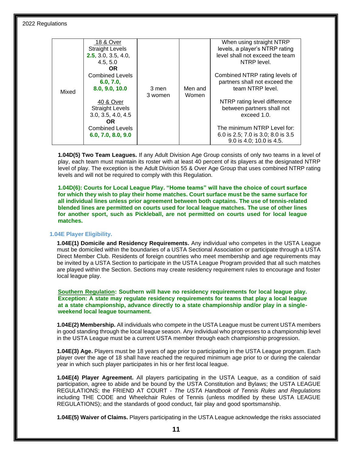**1.04D(5) Two Team Leagues.** If any Adult Division Age Group consists of only two teams in a level of play, each team must maintain its roster with at least 40 percent of its players at the designated NTRP level of play. The exception is the Adult Division 55 & Over Age Group that uses combined NTRP rating levels and will not be required to comply with this Regulation.

**1.04D(6): Courts for Local League Play. "Home teams" will have the choice of court surface for which they wish to play their home matches. Court surface must be the same surface for all individual lines unless prior agreement between both captains. The use of tennis-related blended lines are permitted on courts used for local league matches. The use of other lines for another sport, such as Pickleball, are not permitted on courts used for local league matches.**

#### **1.04E Player Eligibility.**

**1.04E(1) Domicile and Residency Requirements.** Any individual who competes in the USTA League must be domiciled within the boundaries of a USTA Sectional Association or participate through a USTA Direct Member Club. Residents of foreign countries who meet membership and age requirements may be invited by a USTA Section to participate in the USTA League Program provided that all such matches are played within the Section. Sections may create residency requirement rules to encourage and foster local league play.

**Southern Regulation: Southern will have no residency requirements for local league play. Exception: A state may regulate residency requirements for teams that play a local league at a state championship, advance directly to a state championship and/or play in a singleweekend local league tournament.**

**1.04E(2) Membership.** All individuals who compete in the USTA League must be current USTA members in good standing through the local league season. Any individual who progresses to a championship level in the USTA League must be a current USTA member through each championship progression.

**1.04E(3) Age.** Players must be 18 years of age prior to participating in the USTA League program. Each player over the age of 18 shall have reached the required minimum age prior to or during the calendar year in which such player participates in his or her first local league.

**1.04E(4) Player Agreement.** All players participating in the USTA League, as a condition of said participation, agree to abide and be bound by the USTA Constitution and Bylaws; the USTA LEAGUE REGULATIONS; the FRIEND AT COURT - *The USTA Handbook of Tennis Rules and Regulations*  including THE CODE and Wheelchair Rules of Tennis (unless modified by these USTA LEAGUE REGULATIONS); and the standards of good conduct, fair play and good sportsmanship.

**1.04E(5) Waiver of Claims.** Players participating in the USTA League acknowledge the risks associated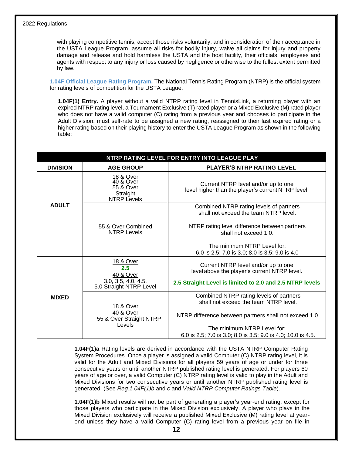with playing competitive tennis, accept those risks voluntarily, and in consideration of their acceptance in the USTA League Program, assume all risks for bodily injury, waive all claims for injury and property damage and release and hold harmless the USTA and the host facility, their officials, employees and agents with respect to any injury or loss caused by negligence or otherwise to the fullest extent permitted by law.

**1.04F Official League Rating Program.** The National Tennis Rating Program (NTRP) is the official system for rating levels of competition for the USTA League.

**1.04F(1) Entry.** A player without a valid NTRP rating level in TennisLink, a returning player with an expired NTRP rating level, a Tournament Exclusive (T) rated player or a Mixed Exclusive (M) rated player who does not have a valid computer (C) rating from a previous year and chooses to participate in the Adult Division, must self-rate to be assigned a new rating, reassigned to their last expired rating or a higher rating based on their playing history to enter the USTA League Program as shown in the following table:

| NTRP RATING LEVEL FOR ENTRY INTO LEAGUE PLAY |                                                                                  |                                                                                             |  |  |
|----------------------------------------------|----------------------------------------------------------------------------------|---------------------------------------------------------------------------------------------|--|--|
| <b>DIVISION</b>                              | <b>AGE GROUP</b>                                                                 | <b>PLAYER'S NTRP RATING LEVEL</b>                                                           |  |  |
|                                              | <b>18 &amp; Over</b><br>40 & Over<br>55 & Over<br>Straight<br><b>NTRP Levels</b> | Current NTRP level and/or up to one<br>level higher than the player's current NTRP level.   |  |  |
| <b>ADULT</b>                                 |                                                                                  | Combined NTRP rating levels of partners<br>shall not exceed the team NTRP level.            |  |  |
|                                              | 55 & Over Combined<br><b>NTRP Levels</b>                                         | NTRP rating level difference between partners<br>shall not exceed 1.0.                      |  |  |
|                                              |                                                                                  | The minimum NTRP Level for:<br>6.0 is 2.5; 7.0 is 3.0; 8.0 is 3.5; 9.0 is 4.0               |  |  |
|                                              | 18 & Over<br>2.5<br>40 & Over                                                    | Current NTRP level and/or up to one<br>level above the player's current NTRP level.         |  |  |
|                                              | 3.0, 3.5, 4.0, 4.5,<br>5.0 Straight NTRP Level                                   | 2.5 Straight Level is limited to 2.0 and 2.5 NTRP levels                                    |  |  |
| <b>MIXED</b>                                 | 18 & Over                                                                        | Combined NTRP rating levels of partners<br>shall not exceed the team NTRP level.            |  |  |
|                                              | <b>40 &amp; Over</b><br>55 & Over Straight NTRP<br>Levels                        | NTRP difference between partners shall not exceed 1.0.                                      |  |  |
|                                              |                                                                                  | The minimum NTRP Level for:<br>6.0 is 2.5; 7.0 is 3.0; 8.0 is 3.5; 9.0 is 4.0; 10.0 is 4.5. |  |  |

**1.04F(1)a** Rating levels are derived in accordance with the USTA NTRP Computer Rating System Procedures. Once a player is assigned a valid Computer (C) NTRP rating level, it is valid for the Adult and Mixed Divisions for all players 59 years of age or under for three consecutive years or until another NTRP published rating level is generated. For players 60 years of age or over, a valid Computer (C) NTRP rating level is valid to play in the Adult and Mixed Divisions for two consecutive years or until another NTRP published rating level is generated. (See *Reg.1.04F(1)b* and *c* and *Valid NTRP Computer Ratings Table*).

**1.04F(1)b** Mixed results will not be part of generating a player's year-end rating, except for those players who participate in the Mixed Division exclusively. A player who plays in the Mixed Division exclusively will receive a published Mixed Exclusive (M) rating level at yearend unless they have a valid Computer (C) rating level from a previous year on file in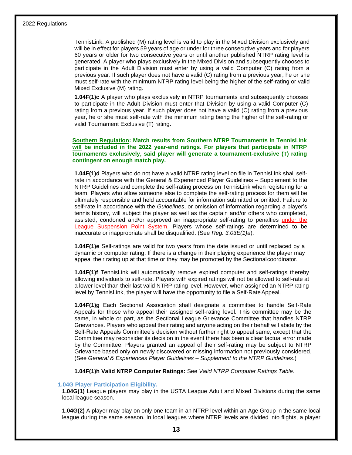TennisLink. A published (M) rating level is valid to play in the Mixed Division exclusively and will be in effect for players 59 years of age or under for three consecutive years and for players 60 years or older for two consecutive years or until another published NTRP rating level is generated. A player who plays exclusively in the Mixed Division and subsequently chooses to participate in the Adult Division must enter by using a valid Computer (C) rating from a previous year. If such player does not have a valid (C) rating from a previous year, he or she must self-rate with the minimum NTRP rating level being the higher of the self-rating or valid Mixed Exclusive (M) rating.

**1.04F(1)c** A player who plays exclusively in NTRP tournaments and subsequently chooses to participate in the Adult Division must enter that Division by using a valid Computer (C) rating from a previous year. If such player does not have a valid (C) rating from a previous year, he or she must self-rate with the minimum rating being the higher of the self-rating or valid Tournament Exclusive (T) rating.

#### **Southern Regulation: Match results from Southern NTRP Tournaments in TennisLink will be included in the 2022 year-end ratings. For players that participate in NTRP tournaments exclusively, said player will generate a tournament-exclusive (T) rating contingent on enough match play.**

**1.04F(1)d** Players who do not have a valid NTRP rating level on file in TennisLink shall selfrate in accordance with the General & Experienced Player Guidelines – Supplement to the NTRP Guidelines and complete the self-rating process on TennisLink when registering for a team. Players who allow someone else to complete the self-rating process for them will be ultimately responsible and held accountable for information submitted or omitted. Failure to self-rate in accordance with the *Guidelines*, or omission of information regarding a player's tennis history, will subject the player as well as the captain and/or others who completed, assisted, condoned and/or approved an inappropriate self-rating to penalties under the League Suspension Point System. Players whose self-ratings are determined to be inaccurate or inappropriate shall be disqualified. (See *Reg. 3.03E(1)a*).

**1.04F(1)e** Self-ratings are valid for two years from the date issued or until replaced by a dynamic or computer rating. If there is a change in their playing experience the player may appeal their rating up at that time or they may be promoted by the Sectionalcoordinator.

**1.04F(1)f** TennisLink will automatically remove expired computer and self-ratings thereby allowing individuals to self-rate. Players with expired ratings will not be allowed to self-rate at a lower level than their last valid NTRP rating level. However, when assigned an NTRP rating level by TennisLink, the player will have the opportunity to file a Self-RateAppeal.

**1.04F(1)g** Each Sectional Association shall designate a committee to handle Self-Rate Appeals for those who appeal their assigned self-rating level. This committee may be the same, in whole or part, as the Sectional League Grievance Committee that handles NTRP Grievances. Players who appeal their rating and anyone acting on their behalf will abide by the Self-Rate Appeals Committee's decision without further right to appeal same, except that the Committee may reconsider its decision in the event there has been a clear factual error made by the Committee. Players granted an appeal of their self-rating may be subject to NTRP Grievance based only on newly discovered or missing information not previously considered. (See *General & Experiences Player Guidelines – Supplement to the NTRP Guidelines*.)

**1.04F(1)h Valid NTRP Computer Ratings:** See *Valid NTRP Computer Ratings Table*.

#### **1.04G Player Participation Eligibility.**

**1.04G(1)** League players may play in the USTA League Adult and Mixed Divisions during the same local league season.

**1.04G(2)** A player may play on only one team in an NTRP level within an Age Group in the same local league during the same season. In local leagues where NTRP levels are divided into flights, a player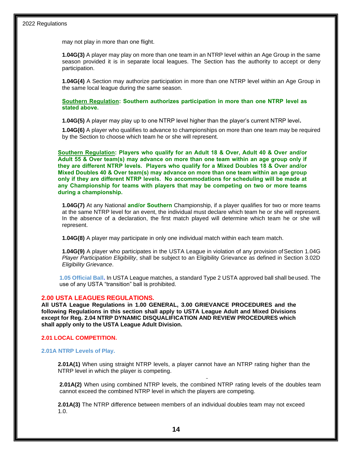may not play in more than one flight.

**1.04G(3)** A player may play on more than one team in an NTRP level within an Age Group in the same season provided it is in separate local leagues. The Section has the authority to accept or deny participation.

**1.04G(4)** A Section may authorize participation in more than one NTRP level within an Age Group in the same local league during the same season.

**Southern Regulation: Southern authorizes participation in more than one NTRP level as stated above.**

**1.04G(5)** A player may play up to one NTRP level higher than the player's current NTRP level**.**

**1.04G(6)** A player who qualifies to advance to championships on more than one team may be required by the Section to choose which team he or she will represent.

**Southern Regulation: Players who qualify for an Adult 18 & Over, Adult 40 & Over and/or Adult 55 & Over team(s) may advance on more than one team within an age group only if they are different NTRP levels. Players who qualify for a Mixed Doubles 18 & Over and/or Mixed Doubles 40 & Over team(s) may advance on more than one team within an age group only if they are different NTRP levels. No accommodations for scheduling will be made at any Championship for teams with players that may be competing on two or more teams during a championship.** 

**1.04G(7)** At any National **and/or Southern** Championship, if a player qualifies for two or more teams at the same NTRP level for an event, the individual must declare which team he or she will represent. In the absence of a declaration, the first match played will determine which team he or she will represent.

**1.04G(8)** A player may participate in only one individual match within each team match.

**1.04G(9)** A player who participates in the USTA League in violation of any provision of Section 1.04G *Player Participation Eligibility*, shall be subject to an Eligibility Grievance as defined in Section 3.02D *Eligibility Grievance*.

**1.05 Official Ball.** In USTA League matches, a standard Type 2 USTA approved ball shall beused. The use of any USTA "transition" ball is prohibited.

#### **2.00 USTA LEAGUES REGULATIONS.**

**All USTA League Regulations in 1.00 GENERAL, 3.00 GRIEVANCE PROCEDURES and the following Regulations in this section shall apply to USTA League Adult and Mixed Divisions except for Reg. 2.04 NTRP DYNAMIC DISQUALIFICATION AND REVIEW PROCEDURES which shall apply only to the USTA League Adult Division.**

#### **2.01 LOCAL COMPETITION.**

#### **2.01A NTRP Levels of Play.**

**2.01A(1)** When using straight NTRP levels, a player cannot have an NTRP rating higher than the NTRP level in which the player is competing.

**2.01A(2)** When using combined NTRP levels, the combined NTRP rating levels of the doubles team cannot exceed the combined NTRP level in which the players are competing.

**2.01A(3)** The NTRP difference between members of an individual doubles team may not exceed 1.0.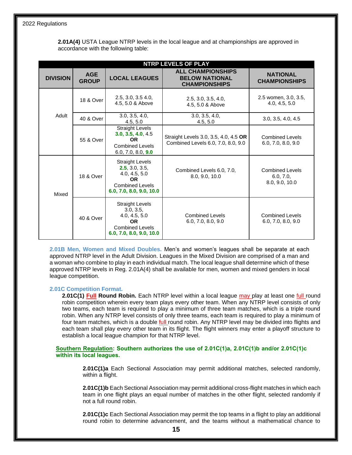**2.01A(4)** USTA League NTRP levels in the local league and at championships are approved in accordance with the following table:

| <b>NTRP LEVELS OF PLAY</b> |                            |                                                                                                                              |                                                                             |                                                       |  |
|----------------------------|----------------------------|------------------------------------------------------------------------------------------------------------------------------|-----------------------------------------------------------------------------|-------------------------------------------------------|--|
| <b>DIVISION</b>            | <b>AGE</b><br><b>GROUP</b> | <b>LOCAL LEAGUES</b>                                                                                                         | <b>ALL CHAMPIONSHIPS</b><br><b>BELOW NATIONAL</b><br><b>CHAMPIONSHIPS</b>   | <b>NATIONAL</b><br><b>CHAMPIONSHIPS</b>               |  |
|                            | 18 & Over                  | 2.5, 3.0, 3.5, 4.0,<br>4.5, 5.0 & Above                                                                                      | 2.5, 3.0, 3.5, 4.0,<br>4.5, 5.0 & Above                                     | 2.5 women, 3.0, 3.5,<br>4.0, 4.5, 5.0                 |  |
| Adult                      | 40 & Over                  | 3.0, 3.5, 4.0,<br>4.5, 5.0                                                                                                   | 3.0, 3.5, 4.0,<br>4.5, 5.0                                                  | 3.0, 3.5, 4.0, 4.5                                    |  |
|                            | 55 & Over                  | <b>Straight Levels</b><br>3.0, 3.5, 4.0, 4.5<br>OR.<br><b>Combined Levels</b><br>6.0, 7.0, 8.0, 9.0                          | Straight Levels 3.0, 3.5, 4.0, 4.5 OR<br>Combined Levels 6.0, 7.0, 8.0, 9.0 | Combined Levels<br>6.0, 7.0, 8.0, 9.0                 |  |
| Mixed                      | 18 & Over                  | <b>Straight Levels</b><br>2.5, 3.0, 3.5,<br>4.0, 4.5, 5.0<br><b>OR</b><br><b>Combined Levels</b><br>6.0, 7.0, 8.0, 9.0, 10.0 | Combined Levels 6.0, 7.0,<br>8.0, 9.0, 10.0                                 | <b>Combined Levels</b><br>6.0, 7.0,<br>8.0, 9.0, 10.0 |  |
|                            | 40 & Over                  | <b>Straight Levels</b><br>3.0, 3.5,<br>4.0, 4.5, 5.0<br><b>OR</b><br><b>Combined Levels</b><br>6.0, 7.0, 8.0, 9.0, 10.0      | <b>Combined Levels</b><br>6.0, 7.0, 8.0, 9.0                                | <b>Combined Levels</b><br>6.0, 7.0, 8.0, 9.0          |  |

**2.01B Men, Women and Mixed Doubles.** Men's and women's leagues shall be separate at each approved NTRP level in the Adult Division. Leagues in the Mixed Division are comprised of a man and a woman who combine to play in each individual match. The local league shall determine which of these approved NTRP levels in Reg. 2.01A(4) shall be available for men, women and mixed genders in local league competition.

#### **2.01C Competition Format.**

**2.01C(1) Full Round Robin.** Each NTRP level within a local league may play at least one full round robin competition wherein every team plays every other team. When any NTRP level consists of only two teams, each team is required to play a minimum of three team matches, which is a triple round robin. When any NTRP level consists of only three teams, each team is required to play a minimum of four team matches, which is a double full round robin. Any NTRP level may be divided into flights and each team shall play every other team in its flight. The flight winners may enter a playoff structure to establish a local league champion for that NTRP level.

#### **Southern Regulation: Southern authorizes the use of 2.01C(1)a, 2.01C(1)b and/or 2.01C(1)c within its local leagues.**

**2.01C(1)a** Each Sectional Association may permit additional matches, selected randomly, within a flight.

**2.01C(1)b** Each Sectional Association may permit additional cross-flight matches in which each team in one flight plays an equal number of matches in the other flight, selected randomly if not a full round robin.

**2.01C(1)c** Each Sectional Association may permit the top teams in a flight to play an additional round robin to determine advancement, and the teams without a mathematical chance to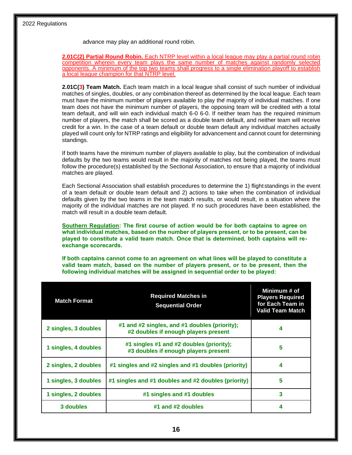advance may play an additional round robin.

**2.01C(2) Partial Round Robin.** Each NTRP level within a local league may play a partial round robin competition wherein every team plays the same number of matches against randomly selected opponents. A minimum of the top two teams shall progress to a single elimination playoff to establish a local league champion for that NTRP level.

**2.01C(3) Team Match.** Each team match in a local league shall consist of such number of individual matches of singles, doubles, or any combination thereof as determined by the local league. Each team must have the minimum number of players available to play the majority of individual matches. If one team does not have the minimum number of players, the opposing team will be credited with a total team default, and will win each individual match 6-0 6-0. If neither team has the required minimum number of players, the match shall be scored as a double team default, and neither team will receive credit for a win. In the case of a team default or double team default any individual matches actually played will count only for NTRP ratings and eligibility for advancement and cannot count for determining standings.

If both teams have the minimum number of players available to play, but the combination of individual defaults by the two teams would result in the majority of matches not being played, the teams must follow the procedure(s) established by the Sectional Association, to ensure that a majority of individual matches are played.

Each Sectional Association shall establish procedures to determine the 1) flight standings in the event of a team default or double team default and 2) actions to take when the combination of individual defaults given by the two teams in the team match results, or would result, in a situation where the majority of the individual matches are not played. If no such procedures have been established, the match will result in a double team default.

**Southern Regulation: The first course of action would be for both captains to agree on what individual matches, based on the number of players present, or to be present, can be played to constitute a valid team match. Once that is determined, both captains will reexchange scorecards.**

**If both captains cannot come to an agreement on what lines will be played to constitute a valid team match, based on the number of players present, or to be present, then the following individual matches will be assigned in sequential order to be played:**

| <b>Match Format</b>  | <b>Required Matches in</b><br><b>Sequential Order</b>                                 | Minimum # of<br><b>Players Required</b><br>for Each Team in<br><b>Valid Team Match</b> |
|----------------------|---------------------------------------------------------------------------------------|----------------------------------------------------------------------------------------|
| 2 singles, 3 doubles | #1 and #2 singles, and #1 doubles (priority);<br>#2 doubles if enough players present | 4                                                                                      |
| 1 singles, 4 doubles | #1 singles #1 and #2 doubles (priority);<br>#3 doubles if enough players present      | 5                                                                                      |
| 2 singles, 2 doubles | #1 singles and #2 singles and #1 doubles (priority)                                   | 4                                                                                      |
| 1 singles, 3 doubles | #1 singles and #1 doubles and #2 doubles (priority)                                   | 5                                                                                      |
| 1 singles, 2 doubles | #1 singles and #1 doubles                                                             | 3                                                                                      |
| 3 doubles            | #1 and #2 doubles                                                                     | 4                                                                                      |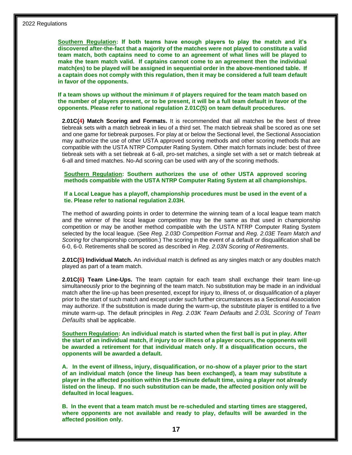**Southern Regulation: If both teams have enough players to play the match and it's discovered after-the-fact that a majority of the matches were not played to constitute a valid team match, both captains need to come to an agreement of what lines will be played to make the team match valid. If captains cannot come to an agreement then the individual match(es) to be played will be assigned in sequential order in the above-mentioned table. If a captain does not comply with this regulation, then it may be considered a full team default in favor of the opponents.**

**If a team shows up without the minimum # of players required for the team match based on the number of players present, or to be present, it will be a full team default in favor of the opponents. Please refer to national regulation 2.01C(5) on team default procedures.** 

**2.01C(4) Match Scoring and Formats.** It is recommended that all matches be the best of three tiebreak sets with a match tiebreak in lieu of a third set. The match tiebreak shall be scored as one set and one game for tiebreak purposes. For play at or below the Sectional level, the Sectional Association may authorize the use of other USTA approved scoring methods and other scoring methods that are compatible with the USTA NTRP Computer Rating System. Other match formats include: best of three tiebreak sets with a set tiebreak at 6-all, pro-set matches, a single set with a set or match tiebreak at 6-all and timed matches. No-Ad scoring can be used with any of the scoring methods.

**Southern Regulation: Southern authorizes the use of other USTA approved scoring methods compatible with the USTA NTRP Computer Rating System at all championships.** 

**If a Local League has a playoff, championship procedures must be used in the event of a tie. Please refer to national regulation 2.03H.**

The method of awarding points in order to determine the winning team of a local league team match and the winner of the local league competition may be the same as that used in championship competition or may be another method compatible with the USTA NTRP Computer Rating System selected by the local league. (See *Reg. 2.03D Competition Format* and *Reg. 2.03E Team Match and Scoring* for championship competition.) The scoring in the event of a default or disqualification shall be 6-0, 6-0. Retirements shall be scored as described in *Reg. 2.03N Scoring of Retirements*.

**2.01C(5) Individual Match.** An individual match is defined as any singles match or any doubles match played as part of a team match.

**2.01C(6) Team Line-Ups.** The team captain for each team shall exchange their team line-up simultaneously prior to the beginning of the team match. No substitution may be made in an individual match after the line-up has been presented, except for injury to, illness of, or disqualification of a player prior to the start of such match and except under such further circumstances as a Sectional Association may authorize. If the substitution is made during the warm-up, the substitute player is entitled to a five minute warm-up. The default principles in *Reg. 2.03K Team Defaults* and *2.03L Scoring of Team Defaults* shall be applicable.

**Southern Regulation: An individual match is started when the first ball is put in play. After the start of an individual match, if injury to or illness of a player occurs, the opponents will be awarded a retirement for that individual match only. If a disqualification occurs, the opponents will be awarded a default.**

**A. In the event of illness, injury, disqualification, or no-show of a player prior to the start of an individual match (once the lineup has been exchanged), a team may substitute a player in the affected position within the 15-minute default time, using a player not already listed on the lineup. If no such substitution can be made, the affected position only will be defaulted in local leagues.** 

**B. In the event that a team match must be re-scheduled and starting times are staggered, where opponents are not available and ready to play, defaults will be awarded in the affected position only.**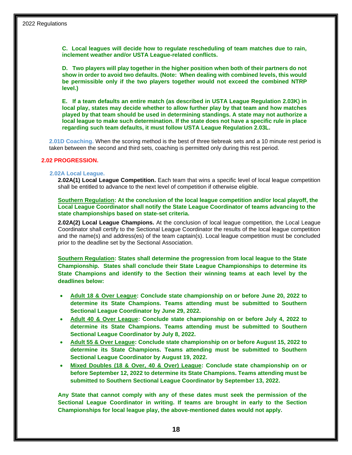**C. Local leagues will decide how to regulate rescheduling of team matches due to rain, inclement weather and/or USTA League-related conflicts.** 

**D. Two players will play together in the higher position when both of their partners do not show in order to avoid two defaults. (Note: When dealing with combined levels, this would be permissible only if the two players together would not exceed the combined NTRP level.)**

**E. If a team defaults an entire match (as described in USTA League Regulation 2.03K) in local play, states may decide whether to allow further play by that team and how matches played by that team should be used in determining standings. A state may not authorize a local league to make such determination. If the state does not have a specific rule in place regarding such team defaults, it must follow USTA League Regulation 2.03L.** 

**2.01D Coaching.** When the scoring method is the best of three tiebreak sets and a 10 minute rest period is taken between the second and third sets, coaching is permitted only during this rest period.

#### **2.02 PROGRESSION.**

#### **2.02A Local League.**

**2.02A(1) Local League Competition.** Each team that wins a specific level of local league competition shall be entitled to advance to the next level of competition if otherwise eligible.

**Southern Regulation: At the conclusion of the local league competition and/or local playoff, the Local League Coordinator shall notify the State League Coordinator of teams advancing to the state championships based on state-set criteria.**

**2.02A(2) Local League Champions.** At the conclusion of local league competition, the Local League Coordinator shall certify to the Sectional League Coordinator the results of the local league competition and the name(s) and address(es) of the team captain(s). Local league competition must be concluded prior to the deadline set by the Sectional Association.

**Southern Regulation: States shall determine the progression from local league to the State Championship. States shall conclude their State League Championships to determine its State Champions and identify to the Section their winning teams at each level by the deadlines below:**

- **Adult 18 & Over League: Conclude state championship on or before June 20, 2022 to determine its State Champions. Teams attending must be submitted to Southern Sectional League Coordinator by June 29, 2022.**
- **Adult 40 & Over League: Conclude state championship on or before July 4, 2022 to determine its State Champions. Teams attending must be submitted to Southern Sectional League Coordinator by July 8, 2022.**
- **Adult 55 & Over League: Conclude state championship on or before August 15, 2022 to determine its State Champions. Teams attending must be submitted to Southern Sectional League Coordinator by August 19, 2022.**
- **Mixed Doubles (18 & Over, 40 & Over) League: Conclude state championship on or before September 12, 2022 to determine its State Champions. Teams attending must be submitted to Southern Sectional League Coordinator by September 13, 2022.**

**Any State that cannot comply with any of these dates must seek the permission of the Sectional League Coordinator in writing. If teams are brought in early to the Section Championships for local league play, the above-mentioned dates would not apply.**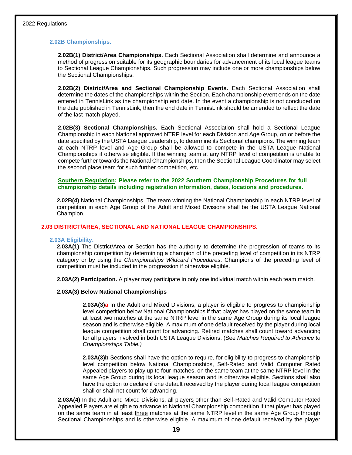#### **2.02B Championships.**

**2.02B(1) District/Area Championships.** Each Sectional Association shall determine and announce a method of progression suitable for its geographic boundaries for advancement of its local league teams to Sectional League Championships. Such progression may include one or more championships below the Sectional Championships.

**2.02B(2) District/Area and Sectional Championship Events.** Each Sectional Association shall determine the dates of the championships within the Section. Each championship event ends on the date entered in TennisLink as the championship end date. In the event a championship is not concluded on the date published in TennisLink, then the end date in TennisLink should be amended to reflect the date of the last match played.

**2.02B(3) Sectional Championships.** Each Sectional Association shall hold a Sectional League Championship in each National approved NTRP level for each Division and Age Group, on or before the date specified by the USTA League Leadership, to determine its Sectional champions. The winning team at each NTRP level and Age Group shall be allowed to compete in the USTA League National Championships if otherwise eligible. If the winning team at any NTRP level of competition is unable to compete further towards the National Championships, then the Sectional League Coordinator may select the second place team for such further competition, etc.

#### **Southern Regulation: Please refer to the 2022 Southern Championship Procedures for full championship details including registration information, dates, locations and procedures.**

**2.02B(4)** National Championships. The team winning the National Championship in each NTRP level of competition in each Age Group of the Adult and Mixed Divisions shall be the USTA League National Champion.

#### **2.03 DISTRICT/AREA, SECTIONAL AND NATIONAL LEAGUE CHAMPIONSHIPS.**

#### **2.03A Eligibility.**

**2.03A(1)** The District/Area or Section has the authority to determine the progression of teams to its championship competition by determining a champion of the preceding level of competition in its NTRP category or by using the *Championships Wildcard Procedures*. Champions of the preceding level of competition must be included in the progression if otherwise eligible.

**2.03A(2) Participation.** A player may participate in only one individual match within each team match.

#### **2.03A(3) Below National Championships**

**2.03A(3)a** In the Adult and Mixed Divisions, a player is eligible to progress to championship level competition below National Championships if that player has played on the same team in at least two matches at the same NTRP level in the same Age Group during its local league season and is otherwise eligible. A maximum of one default received by the player during local league competition shall count for advancing. Retired matches shall count toward advancing for all players involved in both USTA League Divisions. (See *Matches Required to Advance to Championships Table.)*

**2.03A(3)b** Sections shall have the option to require, for eligibility to progress to championship level competition below National Championships, Self-Rated and Valid Computer Rated Appealed players to play up to four matches, on the same team at the same NTRP level in the same Age Group during its local league season and is otherwise eligible. Sections shall also have the option to declare if one default received by the player during local league competition shall or shall not count for advancing.

**2.03A(4)** In the Adult and Mixed Divisions, all players other than Self-Rated and Valid Computer Rated Appealed Players are eligible to advance to National Championship competition if that player has played on the same team in at least three matches at the same NTRP level in the same Age Group through Sectional Championships and is otherwise eligible. A maximum of one default received by the player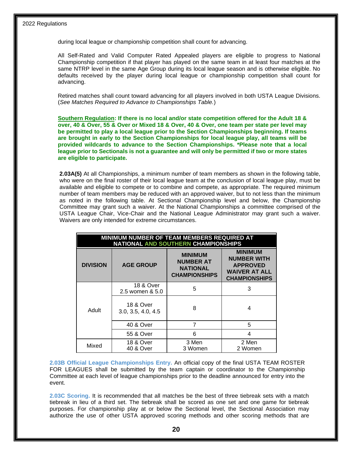during local league or championship competition shall count for advancing.

All Self-Rated and Valid Computer Rated Appealed players are eligible to progress to National Championship competition if that player has played on the same team in at least four matches at the same NTRP level in the same Age Group during its local league season and is otherwise eligible. No defaults received by the player during local league or championship competition shall count for advancing.

Retired matches shall count toward advancing for all players involved in both USTA League Divisions. (*See Matches Required to Advance to Championships Table.*)

**Southern Regulation: If there is no local and/or state competition offered for the Adult 18 & over, 40 & Over, 55 & Over or Mixed 18 & Over, 40 & Over, one team per state per level may be permitted to play a local league prior to the Section Championships beginning. If teams are brought in early to the Section Championships for local league play, all teams will be provided wildcards to advance to the Section Championships. \*Please note that a local league prior to Sectionals is not a guarantee and will only be permitted if two or more states are eligible to participate.**

**2.03A(5)** At all Championships, a minimum number of team members as shown in the following table, who were on the final roster of their local league team at the conclusion of local league play, must be available and eligible to compete or to combine and compete, as appropriate. The required minimum number of team members may be reduced with an approved waiver, but to not less than the minimum as noted in the following table. At Sectional Championship level and below, the Championship Committee may grant such a waiver. At the National Championships a committee comprised of the USTA League Chair, Vice-Chair and the National League Administrator may grant such a waiver. Waivers are only intended for extreme circumstances.

| MINIMUM NUMBER OF TEAM MEMBERS REQUIRED AT<br>NATIONAL AND SOUTHERN CHAMPIONSHIPS |                                            |                                                                        |                                                                                                         |  |  |
|-----------------------------------------------------------------------------------|--------------------------------------------|------------------------------------------------------------------------|---------------------------------------------------------------------------------------------------------|--|--|
| <b>DIVISION</b>                                                                   | <b>AGE GROUP</b>                           | <b>MINIMUM</b><br>NUMBER AT<br><b>NATIONAL</b><br><b>CHAMPIONSHIPS</b> | <b>MINIMUM</b><br><b>NUMBER WITH</b><br><b>APPROVED</b><br><b>WAIVER AT ALL</b><br><b>CHAMPIONSHIPS</b> |  |  |
|                                                                                   | 18 & Over<br>2.5 women & 5.0               | 5                                                                      | 3                                                                                                       |  |  |
| Adult                                                                             | <b>18 &amp; Over</b><br>3.0, 3.5, 4.0, 4.5 | 8                                                                      | 4                                                                                                       |  |  |
|                                                                                   | 40 & Over                                  |                                                                        | 5                                                                                                       |  |  |
|                                                                                   | 55 & Over                                  | 6                                                                      | 4                                                                                                       |  |  |
| Mixed                                                                             | <b>18 &amp; Over</b><br>40 & Over          | 3 Men<br>3 Women                                                       | 2 Men<br>2 Women                                                                                        |  |  |

**2.03B Official League Championships Entry.** An official copy of the final USTA TEAM ROSTER FOR LEAGUES shall be submitted by the team captain or coordinator to the Championship Committee at each level of league championships prior to the deadline announced for entry into the event.

**2.03C Scoring.** It is recommended that all matches be the best of three tiebreak sets with a match tiebreak in lieu of a third set. The tiebreak shall be scored as one set and one game for tiebreak purposes. For championship play at or below the Sectional level, the Sectional Association may authorize the use of other USTA approved scoring methods and other scoring methods that are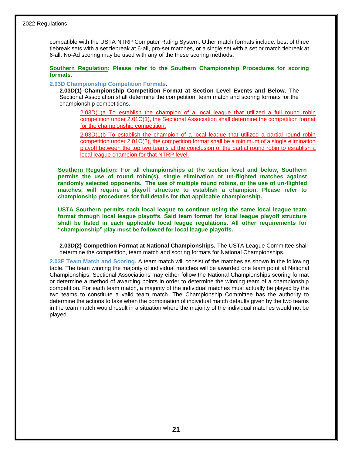compatible with the USTA NTRP Computer Rating System. Other match formats include: best of three tiebreak sets with a set tiebreak at 6-all, pro-set matches, or a single set with a set or match tiebreak at 6-all. No-Ad scoring may be used with any of the these scoring methods**.**

#### **Southern Regulation: Please refer to the Southern Championship Procedures for scoring formats.**

#### **2.03D Championship Competition Formats.**

**2.03D(1) Championship Competition Format at Section Level Events and Below.** The Sectional Association shall determine the competition, team match and scoring formats for the championship competitions.

2.03D(1)a To establish the champion of a local league that utilized a full round robin competition under 2.01C(1), the Sectional Association shall determine the competition format for the championship competition.

2.03D(1)b To establish the champion of a local league that utilized a partial round robin competition under 2.01C(2), the competition format shall be a minimum of a single elimination playoff between the top two teams at the conclusion of the partial round robin to establish a local league champion for that NTRP level.

**Southern Regulation: For all championships at the section level and below, Southern permits the use of round robin(s), single elimination or un-flighted matches against randomly selected opponents. The use of multiple round robins, or the use of un-flighted matches, will require a playoff structure to establish a champion. Please refer to championship procedures for full details for that applicable championship.** 

**USTA Southern permits each local league to continue using the same local league team format through local league playoffs. Said team format for local league playoff structure shall be listed in each applicable local league regulations. All other requirements for "championship" play must be followed for local league playoffs.** 

**2.03D(2) Competition Format at National Championships.** The USTA League Committee shall determine the competition, team match and scoring formats for National Championships.

**2.03E Team Match and Scoring.** A team match will consist of the matches as shown in the following table. The team winning the majority of individual matches will be awarded one team point at National Championships. Sectional Associations may either follow the National Championships scoring format or determine a method of awarding points in order to determine the winning team of a championship competition. For each team match, a majority of the individual matches must actually be played by the two teams to constitute a valid team match. The Championship Committee has the authority to determine the actions to take when the combination of individual match defaults given by the two teams in the team match would result in a situation where the majority of the individual matches would not be played.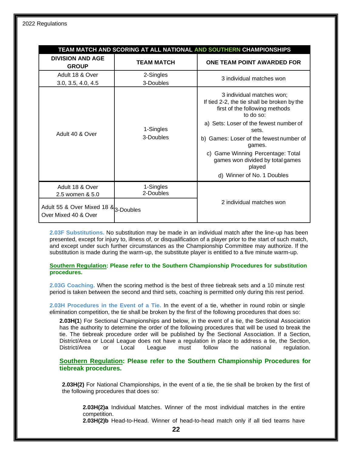| TEAM MATCH AND SCORING AT ALL NATIONAL AND SOUTHERN CHAMPIONSHIPS |                        |                                                                                                                                                                                                                                                                                                                                                  |  |  |  |
|-------------------------------------------------------------------|------------------------|--------------------------------------------------------------------------------------------------------------------------------------------------------------------------------------------------------------------------------------------------------------------------------------------------------------------------------------------------|--|--|--|
| <b>DIVISION AND AGE</b><br><b>GROUP</b>                           | <b>TEAM MATCH</b>      | ONE TEAM POINT AWARDED FOR                                                                                                                                                                                                                                                                                                                       |  |  |  |
| Adult 18 & Over<br>3.0, 3.5, 4.0, 4.5                             | 2-Singles<br>3-Doubles | 3 individual matches won                                                                                                                                                                                                                                                                                                                         |  |  |  |
| Adult 40 & Over                                                   | 1-Singles<br>3-Doubles | 3 individual matches won;<br>If tied 2-2, the tie shall be broken by the<br>first of the following methods<br>to do so:<br>a) Sets: Loser of the fewest number of<br>sets.<br>b) Games: Loser of the fewest number of<br>games.<br>c) Game Winning Percentage: Total<br>games won divided by total games<br>played<br>d) Winner of No. 1 Doubles |  |  |  |
| Adult 18 & Over<br>2.5 women & 5.0                                | 1-Singles<br>2-Doubles |                                                                                                                                                                                                                                                                                                                                                  |  |  |  |
| Adult 55 & Over Mixed 18 & 3-Doubles<br>Over Mixed 40 & Over      |                        | 2 individual matches won                                                                                                                                                                                                                                                                                                                         |  |  |  |

**2.03F Substitutions.** No substitution may be made in an individual match after the line-up has been presented, except for injury to, illness of, or disqualification of a player prior to the start of such match, and except under such further circumstances as the Championship Committee may authorize. If the substitution is made during the warm-up, the substitute player is entitled to a five minute warm-up.

**Southern Regulation: Please refer to the Southern Championship Procedures for substitution procedures.** 

**2.03G Coaching.** When the scoring method is the best of three tiebreak sets and a 10 minute rest period is taken between the second and third sets, coaching is permitted only during this rest period.

**2.03H Procedures in the Event of a Tie.** In the event of a tie, whether in round robin or single elimination competition, the tie shall be broken by the first of the following procedures that does so:

**2.03H(1**) For Sectional Championships and below, in the event of a tie, the Sectional Association has the authority to determine the order of the following procedures that will be used to break the tie. The tiebreak procedure order will be published by the Sectional Association. If a Section, District/Area or Local League does not have a regulation in place to address a tie, the Section, District/Area or Local League must follow the national regulation.

**Southern Regulation: Please refer to the Southern Championship Procedures for tiebreak procedures.** 

**2.03H(2)** For National Championships, in the event of a tie, the tie shall be broken by the first of the following procedures that does so:

**2.03H(2)a** Individual Matches. Winner of the most individual matches in the entire competition.

**2.03H(2)b** Head-to-Head. Winner of head-to-head match only if all tied teams have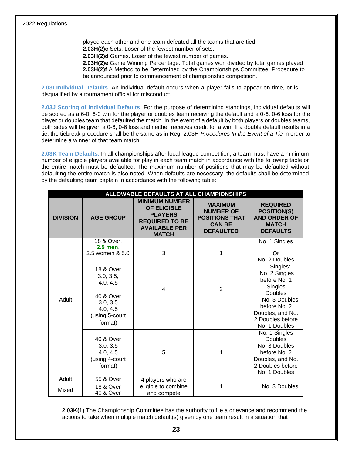played each other and one team defeated all the teams that are tied. **2.03H(2)c** Sets. Loser of the fewest number of sets. **2.03H(2)d** Games. Loser of the fewest number of games. **2.03H(2)e** Game Winning Percentage: Total games won divided by total games played **2.03H(2)f** A Method to be Determined by the Championships Committee. Procedure to be announced prior to commencement of championship competition.

**2.03I Individual Defaults.** An individual default occurs when a player fails to appear on time, or is disqualified by a tournament official for misconduct.

**2.03J Scoring of Individual Defaults**. For the purpose of determining standings, individual defaults will be scored as a 6-0, 6-0 win for the player or doubles team receiving the default and a 0-6, 0-6 loss for the player or doubles team that defaulted the match. In the event of a default by both players or doubles teams, both sides will be given a 0-6, 0-6 loss and neither receives credit for a win. If a double default results in a tie, the tiebreak procedure shall be the same as in Reg. 2.03H *Procedures In the Event of a Tie* in order to determine a winner of that team match.

**2.03K Team Defaults.** In all championships after local league competition, a team must have a minimum number of eligible players available for play in each team match in accordance with the following table or the entire match must be defaulted. The maximum number of positions that may be defaulted without defaulting the entire match is also noted. When defaults are necessary, the defaults shall be determined by the defaulting team captain in accordance with the following table:

| ALLOWABLE DEFAULTS AT ALL CHAMPIONSHIPS |                                                                                                                 |                                                                                                                                |                                                                                                  |                                                                                                                                                                  |  |  |
|-----------------------------------------|-----------------------------------------------------------------------------------------------------------------|--------------------------------------------------------------------------------------------------------------------------------|--------------------------------------------------------------------------------------------------|------------------------------------------------------------------------------------------------------------------------------------------------------------------|--|--|
| <b>DIVISION</b>                         | <b>AGE GROUP</b>                                                                                                | <b>MINIMUM NUMBER</b><br><b>OF ELIGIBLE</b><br><b>PLAYERS</b><br><b>REQUIRED TO BE</b><br><b>AVAILABLE PER</b><br><b>MATCH</b> | <b>MAXIMUM</b><br><b>NUMBER OF</b><br><b>POSITIONS THAT</b><br><b>CAN BE</b><br><b>DEFAULTED</b> | <b>REQUIRED</b><br><b>POSITION(S)</b><br><b>AND ORDER OF</b><br><b>MATCH</b><br><b>DEFAULTS</b>                                                                  |  |  |
|                                         | 18 & Over,<br>$2.5$ men,<br>2.5 women & 5.0                                                                     | 3                                                                                                                              | 1                                                                                                | No. 1 Singles<br>Or<br>No. 2 Doubles                                                                                                                             |  |  |
| Adult                                   | <b>18 &amp; Over</b><br>3.0, 3.5,<br>4.0, 4.5<br>40 & Over<br>3.0, 3.5<br>4.0, 4.5<br>(using 5-court<br>format) | 4                                                                                                                              | $\mathbf{2}$                                                                                     | Singles:<br>No. 2 Singles<br>before No. 1<br>Singles<br><b>Doubles</b><br>No. 3 Doubles<br>before No. 2<br>Doubles, and No.<br>2 Doubles before<br>No. 1 Doubles |  |  |
|                                         | 40 & Over<br>3.0, 3.5<br>4.0, 4.5<br>(using 4-court<br>format)                                                  | 5                                                                                                                              | 1                                                                                                | No. 1 Singles<br>Doubles<br>No. 3 Doubles<br>before No. 2<br>Doubles, and No.<br>2 Doubles before<br>No. 1 Doubles                                               |  |  |
| <b>Adult</b>                            | 55 & Over                                                                                                       | 4 players who are                                                                                                              |                                                                                                  |                                                                                                                                                                  |  |  |
| Mixed                                   | 18 & Over<br>40 & Over                                                                                          | eligible to combine<br>and compete                                                                                             | 1                                                                                                | No. 3 Doubles                                                                                                                                                    |  |  |

**2.03K(1)** The Championship Committee has the authority to file a grievance and recommend the actions to take when multiple match default(s) given by one team result in a situation that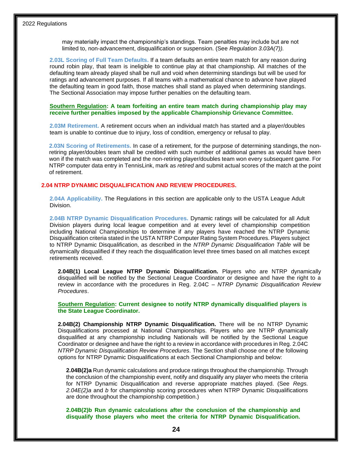may materially impact the championship's standings. Team penalties may include but are not limited to, non-advancement, disqualification or suspension. (See *Regulation 3.03A(7)).*

**2.03L Scoring of Full Team Defaults.** If a team defaults an entire team match for any reason during round robin play, that team is ineligible to continue play at that championship. All matches of the defaulting team already played shall be null and void when determining standings but will be used for ratings and advancement purposes. If all teams with a mathematical chance to advance have played the defaulting team in good faith, those matches shall stand as played when determining standings. The Sectional Association may impose further penalties on the defaulting team.

#### **Southern Regulation: A team forfeiting an entire team match during championship play may receive further penalties imposed by the applicable Championship Grievance Committee.**

**2.03M Retirement.** A retirement occurs when an individual match has started and a player/doubles team is unable to continue due to injury, loss of condition, emergency or refusal to play.

2.03N Scoring of Retirements. In case of a retirement, for the purpose of determining standings, the nonretiring player/doubles team shall be credited with such number of additional games as would have been won if the match was completed and the non-retiring player/doubles team won every subsequent game. For NTRP computer data entry in TennisLink, mark as *retired* and submit actual scores of the match at the point of retirement.

#### **2.04 NTRP DYNAMIC DISQUALIFICATION AND REVIEW PROCEDURES.**

**2.04A Applicability.** The Regulations in this section are applicable only to the USTA League Adult Division.

**2.04B NTRP Dynamic Disqualification Procedures.** Dynamic ratings will be calculated for all Adult Division players during local league competition and at every level of championship competition including National Championships to determine if any players have reached the NTRP Dynamic Disqualification criteria stated in the USTA NTRP Computer Rating System Procedures. Players subject to NTRP Dynamic Disqualification, as described in the *NTRP Dynamic Disqualification Table* will be dynamically disqualified if they reach the disqualification level three times based on all matches except retirements received.

**2.04B(1) Local League NTRP Dynamic Disqualification.** Players who are NTRP dynamically disqualified will be notified by the Sectional League Coordinator or designee and have the right to a review in accordance with the procedures in Reg. 2.04C – *NTRP Dynamic Disqualification Review Procedures*.

#### **Southern Regulation: Current designee to notify NTRP dynamically disqualified players is the State League Coordinator.**

**2.04B(2) Championship NTRP Dynamic Disqualification.** There will be no NTRP Dynamic Disqualifications processed at National Championships. Players who are NTRP dynamically disqualified at any championship including Nationals will be notified by the Sectional League Coordinator or designee and have the right to a review in accordance with procedures in Reg. 2.04C *NTRP Dynamic Disqualification Review Procedures*. The Section shall choose one of the following options for NTRP Dynamic Disqualifications at each Sectional Championship and below:

**2.04B(2)a** Run dynamic calculations and produce ratings throughout the championship. Through the conclusion of the championship event, notify and disqualify any player who meets the criteria for NTRP Dynamic Disqualification and reverse appropriate matches played. (See *Regs. 2.04E(2)a* and *b* for championship scoring procedures when NTRP Dynamic Disqualifications are done throughout the championship competition.)

**2.04B(2)b Run dynamic calculations after the conclusion of the championship and disqualify those players who meet the criteria for NTRP Dynamic Disqualification.**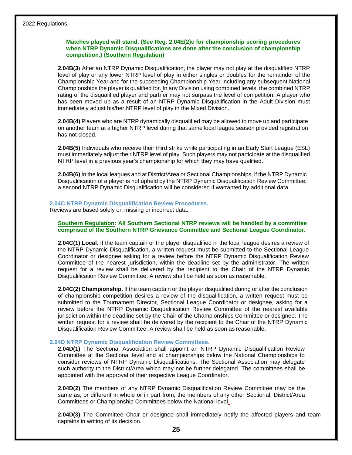#### **Matches played will stand. (See Reg. 2.04E(2)c for championship scoring procedures when NTRP Dynamic Disqualifications are done after the conclusion of championship competition.) (Southern Regulation)**

**2.04B(3**) After an NTRP Dynamic Disqualification, the player may not play at the disqualified NTRP level of play or any lower NTRP level of play in either singles or doubles for the remainder of the Championship Year and for the succeeding Championship Year including any subsequent National Championships the player is qualified for. In any Division using combined levels, the combined NTRP rating of the disqualified player and partner may not surpass the level of competition. A player who has been moved up as a result of an NTRP Dynamic Disqualification in the Adult Division must immediately adjust his/her NTRP level of play in the Mixed Division.

**2.04B(4)** Players who are NTRP dynamically disqualified may be allowed to move up and participate on another team at a higher NTRP level during that same local league season provided registration has not closed.

**2.04B(5)** Individuals who receive their third strike while participating in an Early Start League (ESL) must immediately adjust their NTRP level of play. Such players may not participate at the disqualified NTRP level in a previous year's championship for which they may have qualified.

**2.04B(6)** In the local leagues and at District/Area or Sectional Championships, if the NTRP Dynamic Disqualification of a player is not upheld by the NTRP Dynamic Disqualification Review Committee, a second NTRP Dynamic Disqualification will be considered if warranted by additional data.

#### **2.04C NTRP Dynamic Disqualification Review Procedures.**

Reviews are based solely on missing or incorrect data.

#### **Southern Regulation: All Southern Sectional NTRP reviews will be handled by a committee comprised of the Southern NTRP Grievance Committee and Sectional League Coordinator.**

**2.04C(1) Local.** If the team captain or the player disqualified in the local league desires a review of the NTRP Dynamic Disqualification, a written request must be submitted to the Sectional League Coordinator or designee asking for a review before the NTRP Dynamic Disqualification Review Committee of the nearest jurisdiction, within the deadline set by the administrator. The written request for a review shall be delivered by the recipient to the Chair of the NTRP Dynamic Disqualification Review Committee. A review shall be held as soon as reasonable.

**2.04C(2) Championship.** If the team captain or the player disqualified during or after the conclusion of championship competition desires a review of the disqualification, a written request must be submitted to the Tournament Director, Sectional League Coordinator or designee, asking for a review before the NTRP Dynamic Disqualification Review Committee of the nearest available jurisdiction within the deadline set by the Chair of the Championships Committee or designee. The written request for a review shall be delivered by the recipient to the Chair of the NTRP Dynamic Disqualification Review Committee. A review shall be held as soon as reasonable.

#### **2.04D NTRP Dynamic Disqualification Review Committees.**

**2.04D(1)** The Sectional Association shall appoint an NTRP Dynamic Disqualification Review Committee at the Sectional level and at championships below the National Championships to consider reviews of NTRP Dynamic Disqualifications. The Sectional Association may delegate such authority to the District/Area which may not be further delegated. The committees shall be appointed with the approval of their respective League Coordinator.

**2.04D(2)** The members of any NTRP Dynamic Disqualification Review Committee may be the same as, or different in whole or in part from, the members of any other Sectional, District/Area Committees or Championship Committees below the National level.

**2.04D(3)** The Committee Chair or designee shall immediately notify the affected players and team captains in writing of its decision.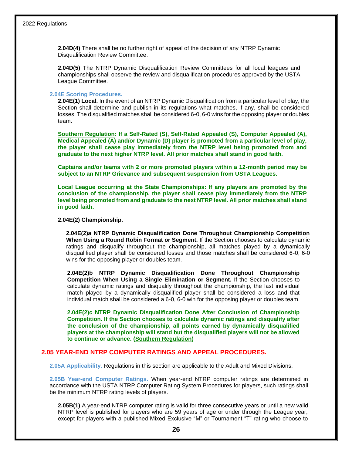**2.04D(4)** There shall be no further right of appeal of the decision of any NTRP Dynamic Disqualification Review Committee.

**2.04D(5)** The NTRP Dynamic Disqualification Review Committees for all local leagues and championships shall observe the review and disqualification procedures approved by the USTA League Committee.

#### **2.04E Scoring Procedures.**

**2.04E(1) Local.** In the event of an NTRP Dynamic Disqualification from a particular level of play, the Section shall determine and publish in its regulations what matches, if any, shall be considered losses. The disqualified matches shall be considered 6-0, 6-0 wins for the opposing player or doubles team.

**Southern Regulation: If a Self-Rated (S), Self-Rated Appealed (S), Computer Appealed (A), Medical Appealed (A) and/or Dynamic (D) player is promoted from a particular level of play, the player shall cease play immediately from the NTRP level being promoted from and graduate to the next higher NTRP level. All prior matches shall stand in good faith.** 

**Captains and/or teams with 2 or more promoted players within a 12-month period may be subject to an NTRP Grievance and subsequent suspension from USTA Leagues.**

**Local League occurring at the State Championships: If any players are promoted by the conclusion of the championship, the player shall cease play immediately from the NTRP level being promoted from and graduate to the next NTRP level. All prior matches shall stand in good faith.**

#### **2.04E(2) Championship.**

**2.04E(2)a NTRP Dynamic Disqualification Done Throughout Championship Competition When Using a Round Robin Format or Segment.** If the Section chooses to calculate dynamic ratings and disqualify throughout the championship, all matches played by a dynamically disqualified player shall be considered losses and those matches shall be considered 6-0, 6-0 wins for the opposing player or doubles team.

**2.04E(2)b NTRP Dynamic Disqualification Done Throughout Championship Competition When Using a Single Elimination or Segment.** If the Section chooses to calculate dynamic ratings and disqualify throughout the championship, the last individual match played by a dynamically disqualified player shall be considered a loss and that individual match shall be considered a 6-0, 6-0 win for the opposing player or doubles team.

**2.04E(2)c NTRP Dynamic Disqualification Done After Conclusion of Championship Competition. If the Section chooses to calculate dynamic ratings and disqualify after the conclusion of the championship, all points earned by dynamically disqualified players at the championship will stand but the disqualified players will not be allowed to continue or advance. (Southern Regulation)** 

#### **2.05 YEAR-END NTRP COMPUTER RATINGS AND APPEAL PROCEDURES.**

**2.05A Applicability.** Regulations in this section are applicable to the Adult and Mixed Divisions.

**2.05B Year-end Computer Ratings.** When year-end NTRP computer ratings are determined in accordance with the USTA NTRP Computer Rating System Procedures for players, such ratings shall be the minimum NTRP rating levels of players.

**2.05B(1)** A year-end NTRP computer rating is valid for three consecutive years or until a new valid NTRP level is published for players who are 59 years of age or under through the League year, except for players with a published Mixed Exclusive "M" or Tournament "T" rating who choose to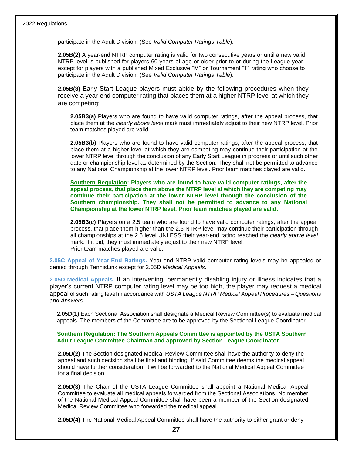participate in the Adult Division. (See *Valid Computer Ratings Table*).

**2.05B(2)** A year-end NTRP computer rating is valid for two consecutive years or until a new valid NTRP level is published for players 60 years of age or older prior to or during the League year, except for players with a published Mixed Exclusive "M" or Tournament "T" rating who choose to participate in the Adult Division. (See *Valid Computer Ratings Table*).

**2.05B(3)** Early Start League players must abide by the following procedures when they receive a year-end computer rating that places them at a higher NTRP level at which they are competing:

**2.05B3(a)** Players who are found to have valid computer ratings, after the appeal process, that place them at the *clearly above level* mark must immediately adjust to their new NTRP level. Prior team matches played are valid.

**2.05B3(b)** Players who are found to have valid computer ratings, after the appeal process, that place them at a higher level at which they are competing may continue their participation at the lower NTRP level through the conclusion of any Early Start League in progress or until such other date or championship level as determined by the Section. They shall not be permitted to advance to any National Championship at the lower NTRP level. Prior team matches played are valid.

**Southern Regulation: Players who are found to have valid computer ratings, after the appeal process, that place them above the NTRP level at which they are competing may continue their participation at the lower NTRP level through the conclusion of the Southern championship. They shall not be permitted to advance to any National Championship at the lower NTRP level. Prior team matches played are valid.**

**2.05B3(c)** Players on a 2.5 team who are found to have valid computer ratings, after the appeal process, that place them higher than the 2.5 NTRP level may continue their participation through all championships at the 2.5 level UNLESS their year-end rating reached the *clearly above level*  mark. If it did, they must immediately adjust to their new NTRP level. Prior team matches played are valid.

**2.05C Appeal of Year-End Ratings.** Year-end NTRP valid computer rating levels may be appealed or denied through TennisLink except for 2.05D *Medical Appeals*.

**2.05D Medical Appeals.** If an intervening, permanently disabling injury or illness indicates that a player's current NTRP computer rating level may be too high, the player may request a medical appeal of such rating level in accordance with *USTA League NTRP Medical Appeal Procedures – Questions and Answers*

**2.05D(1)** Each Sectional Association shall designate a Medical Review Committee(s) to evaluate medical appeals. The members of the Committee are to be approved by the Sectional League Coordinator.

#### **Southern Regulation: The Southern Appeals Committee is appointed by the USTA Southern Adult League Committee Chairman and approved by Section League Coordinator.**

**2.05D(2)** The Section designated Medical Review Committee shall have the authority to deny the appeal and such decision shall be final and binding. If said Committee deems the medical appeal should have further consideration, it will be forwarded to the National Medical Appeal Committee for a final decision.

**2.05D(3)** The Chair of the USTA League Committee shall appoint a National Medical Appeal Committee to evaluate all medical appeals forwarded from the Sectional Associations. No member of the National Medical Appeal Committee shall have been a member of the Section designated Medical Review Committee who forwarded the medical appeal.

**2.05D(4)** The National Medical Appeal Committee shall have the authority to either grant or deny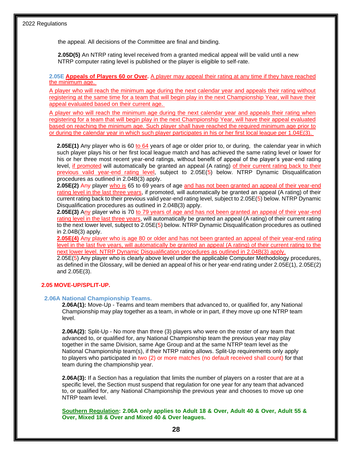the appeal. All decisions of the Committee are final and binding.

**2.05D(5)** An NTRP rating level received from a granted medical appeal will be valid until a new NTRP computer rating level is published or the player is eligible to self-rate.

**2.05E Appeals of Players 60 or Over.** A player may appeal their rating at any time if they have reached the minimum age.

A player who will reach the minimum age during the next calendar year and appeals their rating without registering at the same time for a team that will begin play in the next Championship Year, will have their appeal evaluated based on their current age.

A player who will reach the minimum age during the next calendar year and appeals their rating when registering for a team that will begin play in the next Championship Year, will have their appeal evaluated based on reaching the minimum age. Such player shall have reached the required minimum age prior to or during the calendar year in which such player participates in his or her first local league per 1.04E(3).

**2.05E(1)** Any player who is 60 to 64 years of age or older prior to, or during, the calendar year in which such player plays his or her first local league match and has achieved the same rating level or lower for his or her three most recent year-end ratings, without benefit of appeal of the player's year-end rating level, if promoted will automatically be granted an appeal (A rating) of their current rating back to their previous valid year-end rating level, subject to 2.05E(5) below. NTRP Dynamic Disqualification procedures as outlined in 2.04B(3) apply.

**2.05E(2)** Any player who is 65 to 69 years of age and has not been granted an appeal of their year-end rating level in the last three years, if promoted, will automatically be granted an appeal (A rating) of their current rating back to their previous valid year-end rating level, subject to 2.05E(5) below. NTRP Dynamic Disqualification procedures as outlined in 2.04B(3) apply.

**2.05E(3)** Any player who is 70 to 79 years of age and has not been granted an appeal of their year-end rating level in the last three years, will automatically be granted an appeal (A rating) of their current rating to the next lower level, subject to 2.05E(5) below. NTRP Dynamic Disqualification procedures as outlined in 2.04B(3) apply.

**2.05E(4)** Any player who is age 80 or older and has not been granted an appeal of their year-end rating level in the last five years, will automatically be granted an appeal (A rating) of their current rating to the next lower level. NTRP Dynamic Disqualification procedures as outlined in 2.04B(3) apply.

2.05E(5) Any player who is clearly above level under the applicable Computer Methodology procedures, as defined in the Glossary, will be denied an appeal of his or her year-end rating under 2.05E(1), 2.05E(2) and 2.05E(3).

#### **2.05 MOVE-UP/SPLIT-UP.**

#### **2.06A National Championship Teams.**

**2.06A(1):** Move-Up - Teams and team members that advanced to, or qualified for, any National Championship may play together as a team, in whole or in part, if they move up one NTRP team level.

**2.06A(2):** Split-Up - No more than three (3) players who were on the roster of any team that advanced to, or qualified for, any National Championship team the previous year may play together in the same Division, same Age Group and at the same NTRP team level as the National Championship team(s), if their NTRP rating allows. Split-Up requirements only apply to players who participated in two (2) or more matches (no default received shall count) for that team during the championship year.

**2.06A(3):** If a Section has a regulation that limits the number of players on a roster that are at a specific level, the Section must suspend that regulation for one year for any team that advanced to, or qualified for, any National Championship the previous year and chooses to move up one NTRP team level.

**Southern Regulation: 2.06A only applies to Adult 18 & Over, Adult 40 & Over, Adult 55 & Over, Mixed 18 & Over and Mixed 40 & Over leagues.**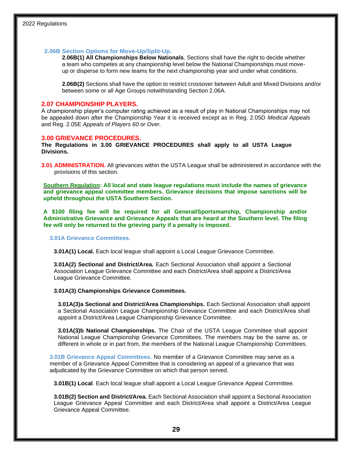#### **2.06B Section Options for Move-Up/Split-Up.**

**2.06B(1) All Championships Below Nationals**. Sections shall have the right to decide whether a team who competes at any championship level below the National Championships must moveup or disperse to form new teams for the next championship year and under what conditions.

**2.06B(2)** Sections shall have the option to restrict crossover between Adult and Mixed Divisions and/or between some or all Age Groups notwithstanding Section 2.06A.

#### **2.07 CHAMPIONSHIP PLAYERS.**

A championship player's computer rating achieved as a result of play in National Championships may not be appealed down after the Championship Year it is received except as in Reg. 2.05D *Medical Appeals*  and Reg. 2.05E *Appeals of Players 60 or Over.*

#### **3.00 GRIEVANCE PROCEDURES.**

**The Regulations in 3.00 GRIEVANCE PROCEDURES shall apply to all USTA League Divisions.**

**3.01 ADMINISTRATION.** All grievances within the USTA League shall be administered in accordance with the provisions of this section.

**Southern Regulation: All local and state league regulations must include the names of grievance and grievance appeal committee members. Grievance decisions that impose sanctions will be upheld throughout the USTA Southern Section.**

**A \$100 filing fee will be required for all General/Sportsmanship, Championship and/or Administrative Grievance and Grievance Appeals that are heard at the Southern level. The filing fee will only be returned to the grieving party if a penalty is imposed.** 

**3.01A Grievance Committees.**

**3.01A(1) Local.** Each local league shall appoint a Local League Grievance Committee.

**3.01A(2) Sectional and District/Area.** Each Sectional Association shall appoint a Sectional Association League Grievance Committee and each District/Area shall appoint a District/Area League Grievance Committee.

#### **3.01A(3) Championships Grievance Committees.**

**3.01A(3)a Sectional and District/Area Championships.** Each Sectional Association shall appoint a Sectional Association League Championship Grievance Committee and each District/Area shall appoint a District/Area League Championship Grievance Committee.

**3.01A(3)b National Championships.** The Chair of the USTA League Committee shall appoint National League Championship Grievance Committees. The members may be the same as, or different in whole or in part from, the members of the National League Championship Committees.

**3.01B Grievance Appeal Committees.** No member of a Grievance Committee may serve as a member of a Grievance Appeal Committee that is considering an appeal of a grievance that was adjudicated by the Grievance Committee on which that person served.

**3.01B(1) Local**. Each local league shall appoint a Local League Grievance Appeal Committee.

**3.01B(2) Section and District/Area.** Each Sectional Association shall appoint a Sectional Association League Grievance Appeal Committee and each District/Area shall appoint a District/Area League Grievance Appeal Committee.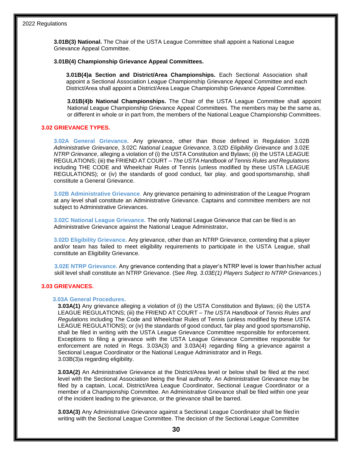**3.01B(3) National.** The Chair of the USTA League Committee shall appoint a National League Grievance Appeal Committee.

#### **3.01B(4) Championship Grievance Appeal Committees.**

**3.01B(4)a Section and District/Area Championships.** Each Sectional Association shall appoint a Sectional Association League Championship Grievance Appeal Committee and each District/Area shall appoint a District/Area League Championship Grievance Appeal Committee.

**3.01B(4)b National Championships.** The Chair of the USTA League Committee shall appoint National League Championship Grievance Appeal Committees. The members may be the same as, or different in whole or in part from, the members of the National League Championship Committees.

#### **3.02 GRIEVANCE TYPES.**

**3.02A General Grievance.** Any grievance, other than those defined in Regulation 3.02B *Administrative Grievance*, 3.02C *National League Grievance,* 3.02D *Eligibility Grievance* and 3.02E *NTRP Grievance*, alleging a violation of (i) the USTA Constitution and Bylaws; (ii) the USTA LEAGUE REGULATIONS; (iii) the FRIEND AT COURT *– The USTA Handbook of Tennis Rules and Regulations*  including THE CODE and Wheelchair Rules of Tennis (unless modified by these USTA LEAGUE REGULATIONS); or (iv) the standards of good conduct, fair play, and good sportsmanship, shall constitute a General Grievance.

**3.02B Administrative Grievance**. Any grievance pertaining to administration of the League Program at any level shall constitute an Administrative Grievance. Captains and committee members are not subject to Administrative Grievances.

**3.02C National League Grievance.** The only National League Grievance that can be filed is an Administrative Grievance against the National League Administrator**.**

**3.02D Eligibility Grievance.** Any grievance, other than an NTRP Grievance, contending that a player and/or team has failed to meet eligibility requirements to participate in the USTA League, shall constitute an Eligibility Grievance.

**3.02E NTRP Grievance.** Any grievance contending that a player's NTRP level is lower thanhis/her actual skill level shall constitute an NTRP Grievance. (See *Reg. 3.03E(1) Players Subject to NTRP Grievances.*)

#### **3.03 GRIEVANCES.**

#### **3.03A General Procedures.**

**3.03A(1)** Any grievance alleging a violation of (i) the USTA Constitution and Bylaws; (ii) the USTA LEAGUE REGULATIONS; (iii) the FRIEND AT COURT *– The USTA Handbook of Tennis Rules and Regulations* including The Code and Wheelchair Rules of Tennis (unless modified by these USTA LEAGUE REGULATIONS); or (iv) the standards of good conduct, fair play and good sportsmanship, shall be filed in writing with the USTA League Grievance Committee responsible for enforcement. Exceptions to filing a grievance with the USTA League Grievance Committee responsible for enforcement are noted in Regs. 3.03A(3) and 3.03A(4) regarding filing a grievance against a Sectional League Coordinator or the National League Administrator and in Regs. 3.03B(3)a regarding eligibility.

**3.03A(2)** An Administrative Grievance at the District/Area level or below shall be filed at the next level with the Sectional Association being the final authority. An Administrative Grievance may be filed by a captain, Local, District/Area League Coordinator, Sectional League Coordinator or a member of a Championship Committee. An Administrative Grievance shall be filed within one year of the incident leading to the grievance, or the grievance shall be barred.

**3.03A(3)** Any Administrative Grievance against a Sectional League Coordinator shall be filedin writing with the Sectional League Committee. The decision of the Sectional League Committee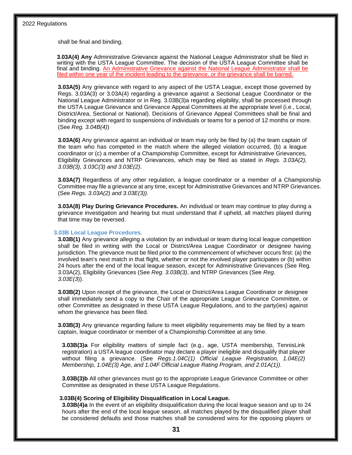shall be final and binding.

**3.03A(4) Any** Administrative Grievance against the National League Administrator shall be filed in writing with the USTA League Committee. The decision of the USTA League Committee shall be final and binding. An Administrative Grievance against the National League Administrator shall be filed within one year of the incident leading to the grievance, or the grievance shall be barred.

**3.03A(5)** Any grievance with regard to any aspect of the USTA League, except those governed by Regs. 3.03A(3) or 3.03A(4) regarding a grievance against a Sectional League Coordinator or the National League Administrator or in Reg. 3.03B(3)a regarding eligibility, shall be processed through the USTA League Grievance and Grievance Appeal Committees at the appropriate level (i.e., Local, District/Area, Sectional or National). Decisions of Grievance Appeal Committees shall be final and binding except with regard to suspensions of individuals or teams for a period of 12 months or more. (See *Reg. 3.04B(4)*)

**3.03A(6)** Any grievance against an individual or team may only be filed by (a) the team captain of the team who has competed in the match where the alleged violation occurred, (b) a league coordinator or (c) a member of a Championship Committee, except for Administrative Grievances, Eligibility Grievances and NTRP Grievances, which may be filed as stated in *Regs. 3.03A(2), 3.03B(3), 3.03C(3) and 3.03E(2)*.

**3.03A(7)** Regardless of any other regulation, a league coordinator or a member of a Championship Committee may file a grievance at any time, except for Administrative Grievances and NTRP Grievances. (See *Regs. 3.03A(2) and 3.03E(3)).*

**3.03A(8) Play During Grievance Procedures.** An individual or team may continue to play during a grievance investigation and hearing but must understand that if upheld, all matches played during that time may be reversed.

#### **3.03B Local League Procedures.**

**3.03B(1)** Any grievance alleging a violation by an individual or team during local league competition shall be filed in writing with the Local or District/Area League Coordinator or designee having jurisdiction. The grievance must be filed prior to the commencement of whichever occurs first: (a) the involved team's next match in that flight, whether or not the involved player participates or (b) within 24 hours after the end of the local league season, except for Administrative Grievances (See Reg. 3.03A(2), Eligibility Grievances (See *Reg. 3.03B(3)*, and NTRP Grievances (See *Reg. 3.03E(3*)).

**3.03B(2)** Upon receipt of the grievance, the Local or District/Area League Coordinator or designee shall immediately send a copy to the Chair of the appropriate League Grievance Committee, or other Committee as designated in these USTA League Regulations, and to the party(ies) against whom the grievance has been filed.

**3.03B(3)** Any grievance regarding failure to meet eligibility requirements may be filed by a team captain, league coordinator or member of a Championship Committee at any time.

**3.03B(3)a** For eligibility matters of simple fact (e.g., age, USTA membership, TennisLink registration) a USTA league coordinator may declare a player ineligible and disqualify that player without filing a grievance. (See *Regs.1.04C(1) Official League Registration, 1.04E(2) Membership, 1.04E(3) Age, and 1.04F Official League Rating Program, and 2.01A(1))*.

**3.03B(3)b** All other grievances must go to the appropriate League Grievance Committee or other Committee as designated in these USTA League Regulations.

#### **3.03B(4) Scoring of Eligibility Disqualification in Local League.**

**3.03B(4)a** In the event of an eligibility disqualification during the local league season and up to 24 hours after the end of the local league season, all matches played by the disqualified player shall be considered defaults and those matches shall be considered wins for the opposing players or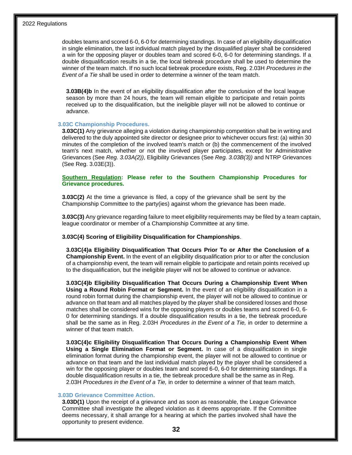doubles teams and scored 6-0, 6-0 for determining standings. In case of an eligibility disqualification in single elimination, the last individual match played by the disqualified player shall be considered a win for the opposing player or doubles team and scored 6-0, 6-0 for determining standings. If a double disqualification results in a tie, the local tiebreak procedure shall be used to determine the winner of the team match. If no such local tiebreak procedure exists, Reg. 2.03H *Procedures in the Event of a Tie* shall be used in order to determine a winner of the team match.

**3.03B(4)b** In the event of an eligibility disqualification after the conclusion of the local league season by more than 24 hours, the team will remain eligible to participate and retain points received up to the disqualification, but the ineligible player will not be allowed to continue or advance.

#### **3.03C Championship Procedures.**

**3.03C(1)** Any grievance alleging a violation during championship competition shall be in writing and delivered to the duly appointed site director or designee prior to whichever occurs first: (a) within 30 minutes of the completion of the involved team's match or (b) the commencement of the involved team's next match, whether or not the involved player participates, except for Administrative Grievances (See *Reg. 3.03A(2)),* Eligibility Grievances (See *Reg. 3.03B(3))* and NTRP Grievances (See Reg. 3.03E(3)).

**Southern Regulation: Please refer to the Southern Championship Procedures for Grievance procedures.** 

**3.03C(2)** At the time a grievance is filed, a copy of the grievance shall be sent by the Championship Committee to the party(ies) against whom the grievance has been made.

**3.03C(3)** Any grievance regarding failure to meet eligibility requirements may be filed by a team captain, league coordinator or member of a Championship Committee at any time.

#### **3.03C(4) Scoring of Eligibility Disqualification for Championships**.

**3.03C(4)a Eligibility Disqualification That Occurs Prior To or After the Conclusion of a Championship Event.** In the event of an eligibility disqualification prior to or after the conclusion of a championship event, the team will remain eligible to participate and retain points received up to the disqualification, but the ineligible player will not be allowed to continue or advance.

**3.03C(4)b Eligibility Disqualification That Occurs During a Championship Event When Using a Round Robin Format or Segment.** In the event of an eligibility disqualification in a round robin format during the championship event, the player will not be allowed to continue or advance on that team and all matches played by the player shall be considered losses and those matches shall be considered wins for the opposing players or doubles teams and scored 6-0, 6- 0 for determining standings. If a double disqualification results in a tie, the tiebreak procedure shall be the same as in Reg. 2.03H *Procedures in the Event of a Tie,* in order to determine a winner of that team match.

**3.03C(4)c Eligibility Disqualification That Occurs During a Championship Event When Using a Single Elimination Format or Segment.** In case of a disqualification in single elimination format during the championship event, the player will not be allowed to continue or advance on that team and the last individual match played by the player shall be considered a win for the opposing player or doubles team and scored 6-0, 6-0 for determining standings. If a double disqualification results in a tie, the tiebreak procedure shall be the same as in Reg. 2.03H *Procedures in the Event of a Tie,* in order to determine a winner of that team match.

#### **3.03D Grievance Committee Action.**

**3.03D(1)** Upon the receipt of a grievance and as soon as reasonable, the League Grievance Committee shall investigate the alleged violation as it deems appropriate. If the Committee deems necessary, it shall arrange for a hearing at which the parties involved shall have the opportunity to present evidence.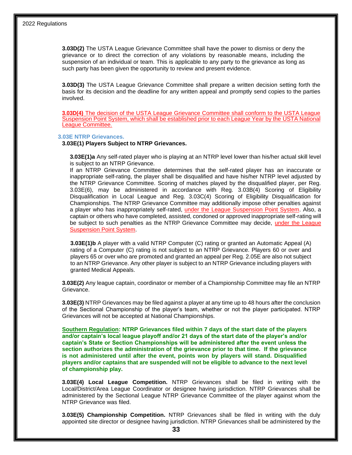**3.03D(2)** The USTA League Grievance Committee shall have the power to dismiss or deny the grievance or to direct the correction of any violations by reasonable means, including the suspension of an individual or team. This is applicable to any party to the grievance as long as such party has been given the opportunity to review and present evidence.

**3.03D(3)** The USTA League Grievance Committee shall prepare a written decision setting forth the basis for its decision and the deadline for any written appeal and promptly send copies to the parties involved.

**3.03D(4)** The decision of the USTA League Grievance Committee shall conform to the USTA League Suspension Point System, which shall be established prior to each League Year by the USTA National League Committee.

#### **3.03E NTRP Grievances.**

#### **3.03E(1) Players Subject to NTRP Grievances.**

**3.03E(1)a** Any self-rated player who is playing at an NTRP level lower than his/her actual skill level is subject to an NTRP Grievance.

If an NTRP Grievance Committee determines that the self-rated player has an inaccurate or inappropriate self-rating, the player shall be disqualified and have his/her NTRP level adjusted by the NTRP Grievance Committee. Scoring of matches played by the disqualified player, per Reg. 3.03E(6), may be administered in accordance with Reg. 3.03B(4) Scoring of Eligibility Disqualification in Local League and Reg. 3.03C(4) Scoring of Eligibility Disqualification for Championships. The NTRP Grievance Committee may additionally impose other penalties against a player who has inappropriately self-rated, under the League Suspension Point System. Also, a captain or others who have completed, assisted, condoned or approved inappropriate self-rating will be subject to such penalties as the NTRP Grievance Committee may decide, under the League Suspension Point System.

**3.03E(1)b** A player with a valid NTRP Computer (C) rating or granted an Automatic Appeal (A) rating of a Computer (C) rating is not subject to an NTRP Grievance. Players 60 or over and players 65 or over who are promoted and granted an appeal per Reg. 2.05E are also not subject to an NTRP Grievance. Any other player is subject to an NTRP Grievance including players with granted Medical Appeals.

**3.03E(2)** Any league captain, coordinator or member of a Championship Committee may file an NTRP Grievance.

**3.03E(3)** NTRP Grievances may be filed against a player at any time up to 48 hours after the conclusion of the Sectional Championship of the player's team, whether or not the player participated. NTRP Grievances will not be accepted at National Championships.

**Southern Regulation: NTRP Grievances filed within 7 days of the start date of the players and/or captain's local league playoff and/or 21 days of the start date of the player's and/or captain's State or Section Championships will be administered after the event unless the section authorizes the administration of the grievance prior to that time. If the grievance is not administered until after the event, points won by players will stand. Disqualified players and/or captains that are suspended will not be eligible to advance to the next level of championship play.**

**3.03E(4) Local League Competition.** NTRP Grievances shall be filed in writing with the Local/District/Area League Coordinator or designee having jurisdiction. NTRP Grievances shall be administered by the Sectional League NTRP Grievance Committee of the player against whom the NTRP Grievance was filed.

**3.03E(5) Championship Competition.** NTRP Grievances shall be filed in writing with the duly appointed site director or designee having jurisdiction. NTRP Grievances shall be administered by the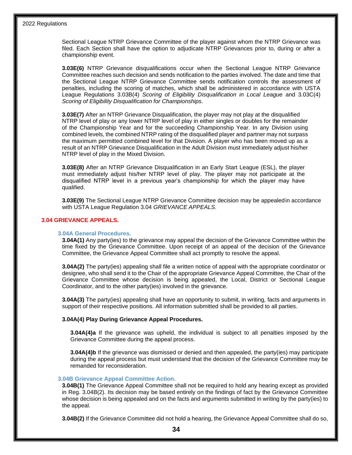Sectional League NTRP Grievance Committee of the player against whom the NTRP Grievance was filed. Each Section shall have the option to adjudicate NTRP Grievances prior to, during or after a championship event.

**3.03E(6)** NTRP Grievance disqualifications occur when the Sectional League NTRP Grievance Committee reaches such decision and sends notification to the parties involved. The date and time that the Sectional League NTRP Grievance Committee sends notification controls the assessment of penalties, including the scoring of matches, which shall be administered in accordance with USTA League Regulations 3.03B(4) *Scoring of Eligibility Disqualification in Local League* and 3.03C(4) *Scoring of Eligibility Disqualification for Championships.*

**3.03E(7)** After an NTRP Grievance Disqualification, the player may not play at the disqualified NTRP level of play or any lower NTRP level of play in either singles or doubles for the remainder of the Championship Year and for the succeeding Championship Year. In any Division using combined levels, the combined NTRP rating of the disqualified player and partner may not surpass the maximum permitted combined level for that Division. A player who has been moved up as a result of an NTRP Grievance Disqualification in the Adult Division must immediately adjust his/her NTRP level of play in the Mixed Division.

**3.03E(8)** After an NTRP Grievance Disqualification in an Early Start League (ESL), the player must immediately adjust his/her NTRP level of play. The player may not participate at the disqualified NTRP level in a previous year's championship for which the player may have qualified.

**3.03E(9)** The Sectional League NTRP Grievance Committee decision may be appealedin accordance with USTA League Regulation 3.04 *GRIEVANCE APPEALS*.

#### **3.04 GRIEVANCE APPEALS.**

#### **3.04A General Procedures.**

**3.04A(1)** Any party(ies) to the grievance may appeal the decision of the Grievance Committee within the time fixed by the Grievance Committee. Upon receipt of an appeal of the decision of the Grievance Committee, the Grievance Appeal Committee shall act promptly to resolve the appeal.

**3.04A(2)** The party(ies) appealing shall file a written notice of appeal with the appropriate coordinator or designee, who shall send it to the Chair of the appropriate Grievance Appeal Committee, the Chair of the Grievance Committee whose decision is being appealed, the Local, District or Sectional League Coordinator, and to the other party(ies) involved in the grievance.

**3.04A(3)** The party(ies) appealing shall have an opportunity to submit, in writing, facts and arguments in support of their respective positions. All information submitted shall be provided to all parties.

#### **3.04A(4) Play During Grievance Appeal Procedures.**

**3.04A(4)a** If the grievance was upheld, the individual is subject to all penalties imposed by the Grievance Committee during the appeal process.

**3.04A(4)b** If the grievance was dismissed or denied and then appealed, the party(ies) may participate during the appeal process but must understand that the decision of the Grievance Committee may be remanded for reconsideration.

#### **3.04B Grievance Appeal Committee Action.**

**3.04B(1)** The Grievance Appeal Committee shall not be required to hold any hearing except as provided in Reg. 3.04B(2). Its decision may be based entirely on the findings of fact by the Grievance Committee whose decision is being appealed and on the facts and arguments submitted in writing by the party(ies) to the appeal.

**3.04B(2)** If the Grievance Committee did not hold a hearing, the Grievance Appeal Committee shall do so,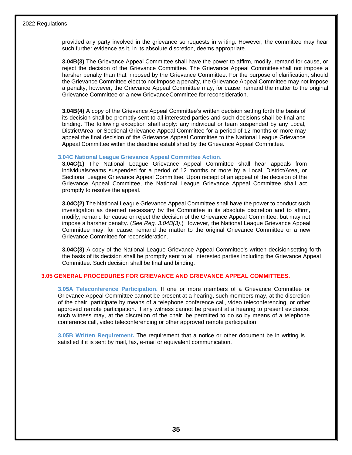provided any party involved in the grievance so requests in writing. However, the committee may hear such further evidence as it, in its absolute discretion, deems appropriate.

**3.04B(3)** The Grievance Appeal Committee shall have the power to affirm, modify, remand for cause, or reject the decision of the Grievance Committee. The Grievance Appeal Committee shall not impose a harsher penalty than that imposed by the Grievance Committee. For the purpose of clarification, should the Grievance Committee elect to not impose a penalty, the Grievance Appeal Committee may not impose a penalty; however, the Grievance Appeal Committee may, for cause, remand the matter to the original Grievance Committee or a new GrievanceCommittee for reconsideration.

**3.04B(4)** A copy of the Grievance Appeal Committee's written decision setting forth the basis of its decision shall be promptly sent to all interested parties and such decisions shall be final and binding. The following exception shall apply: any individual or team suspended by any Local, District/Area, or Sectional Grievance Appeal Committee for a period of 12 months or more may appeal the final decision of the Grievance Appeal Committee to the National League Grievance Appeal Committee within the deadline established by the Grievance Appeal Committee.

#### **3.04C National League Grievance Appeal Committee Action.**

**3.04C(1)** The National League Grievance Appeal Committee shall hear appeals from individuals/teams suspended for a period of 12 months or more by a Local, District/Area, or Sectional League Grievance Appeal Committee. Upon receipt of an appeal of the decision of the Grievance Appeal Committee, the National League Grievance Appeal Committee shall act promptly to resolve the appeal.

**3.04C(2)** The National League Grievance Appeal Committee shall have the power to conduct such investigation as deemed necessary by the Committee in its absolute discretion and to affirm, modify, remand for cause or reject the decision of the Grievance Appeal Committee, but may not impose a harsher penalty. (*See Reg. 3.04B(3)*.) However, the National League Grievance Appeal Committee may, for cause, remand the matter to the original Grievance Committee or a new Grievance Committee for reconsideration.

**3.04C(3)** A copy of the National League Grievance Appeal Committee's written decision setting forth the basis of its decision shall be promptly sent to all interested parties including the Grievance Appeal Committee. Such decision shall be final and binding.

#### **3.05 GENERAL PROCEDURES FOR GRIEVANCE AND GRIEVANCE APPEAL COMMITTEES.**

**3.05A Teleconference Participation.** If one or more members of a Grievance Committee or Grievance Appeal Committee cannot be present at a hearing, such members may, at the discretion of the chair, participate by means of a telephone conference call, video teleconferencing, or other approved remote participation. If any witness cannot be present at a hearing to present evidence, such witness may, at the discretion of the chair, be permitted to do so by means of a telephone conference call, video teleconferencing or other approved remote participation.

**3.05B Written Requirement.** The requirement that a notice or other document be in writing is satisfied if it is sent by mail, fax, e-mail or equivalent communication.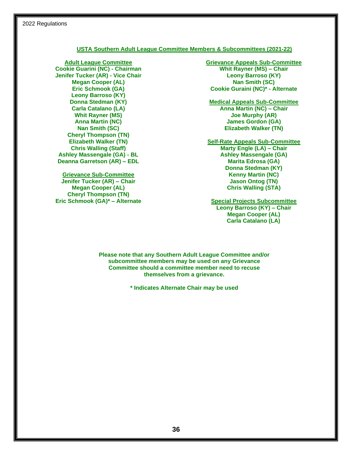#### **USTA Southern Adult League Committee Members & Subcommittees (2021-22)**

**Adult League Committee Cookie Guarini (NC) - Chairman Jenifer Tucker (AR) - Vice Chair Megan Cooper (AL) Eric Schmook (GA) Leony Barroso (KY) Donna Stedman (KY) Carla Catalano (LA) Whit Rayner (MS) Anna Martin (NC) Nan Smith (SC) Cheryl Thompson (TN) Elizabeth Walker (TN) Chris Walling (Staff) Ashley Massengale (GA) - BL Deanna Garretson (AR) – EDL**

**Grievance Sub-Committee Jenifer Tucker (AR) – Chair Megan Cooper (AL) Cheryl Thompson (TN) Eric Schmook (GA)\* – Alternate** **Grievance Appeals Sub-Committee Whit Rayner (MS) – Chair Leony Barroso (KY) Nan Smith (SC) Cookie Guraini (NC)\* - Alternate**

**Medical Appeals Sub-Committee Anna Martin (NC) – Chair Joe Murphy (AR) James Gordon (GA) Elizabeth Walker (TN)**

**Self-Rate Appeals Sub-Committee Marty Engle (LA) – Chair Ashley Massengale (GA) Marita Edrosa (GA) Donna Stedman (KY) Kenny Martin (NC) Jason Ontog (TN) Chris Walling (STA)**

**Special Projects Subcommittee Leony Barroso (KY) – Chair Megan Cooper (AL) Carla Catalano (LA)**

**Please note that any Southern Adult League Committee and/or subcommittee members may be used on any Grievance Committee should a committee member need to recuse themselves from a grievance.**

**\* Indicates Alternate Chair may be used**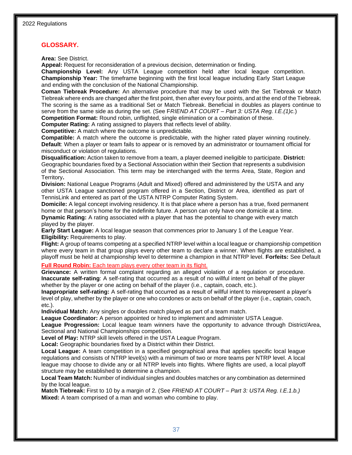#### **GLOSSARY.**

**Area:** See District.

**Appeal:** Request for reconsideration of a previous decision, determination or finding.

**Championship Level:** Any USTA League competition held after local league competition. **Championship Year:** The timeframe beginning with the first local league including Early Start League and ending with the conclusion of the National Championship.

**Coman Tiebreak Procedure:** An alternative procedure that may be used with the Set Tiebreak or Match Tiebreak where ends are changed after the first point, then after every four points, and at the end of the Tiebreak. The scoring is the same as a traditional Set or Match Tiebreak. Beneficial in doubles as players continue to serve from the same side as during the set. (See F*RIEND AT COURT – Part 3: USTA Reg. I.E.(1)c.*)

**Competition Format:** Round robin, unflighted, single elimination or a combination of these.

**Computer Rating:** A rating assigned to players that reflects level of ability.

**Competitive:** A match where the outcome is unpredictable.

**Compatible:** A match where the outcome is predictable, with the higher rated player winning routinely. **Default**: When a player or team fails to appear or is removed by an administrator or tournament official for misconduct or violation of regulations.

**Disqualification:** Action taken to remove from a team, a player deemed ineligible to participate. **District:**  Geographic boundaries fixed by a Sectional Association within their Section that represents a subdivision of the Sectional Association. This term may be interchanged with the terms Area, State, Region and Territory**.**

**Division:** National League Programs (Adult and Mixed) offered and administered by the USTA and any other USTA League sanctioned program offered in a Section, District or Area, identified as part of TennisLink and entered as part of the USTA NTRP Computer Rating System.

**Domicile:** A legal concept involving residency. It is that place where a person has a true, fixed permanent home or that person's home for the indefinite future. A person can only have one domicile at a time. **Dynamic Rating:** A rating associated with a player that has the potential to change with every match

played by the player.

**Early Start League:** A local league season that commences prior to January 1 of the League Year. **Eligibility:** Requirements to play.

**Flight:** A group of teams competing at a specified NTRP level within a local league or championship competition where every team in that group plays every other team to declare a winner. When flights are established, a playoff must be held at championship level to determine a champion in that NTRP level. **Forfeits:** See Default

**Full Round Robin:** Each team plays every other team in its flight.

**Grievance:** A written formal complaint regarding an alleged violation of a regulation or procedure. **Inaccurate self-rating**: A self-rating that occurred as a result of no willful intent on behalf of the player whether by the player or one acting on behalf of the player (i.e., captain, coach, etc.).

**Inappropriate self-rating:** A self-rating that occurred as a result of willful intent to misrepresent a player's level of play, whether by the player or one who condones or acts on behalf of the player (i.e., captain, coach, etc.).

**Individual Match:** Any singles or doubles match played as part of a team match.

**League Coordinator:** A person appointed or hired to implement and administer USTA League.

**League Progression:** Local league team winners have the opportunity to advance through District/Area, Sectional and National Championships competition.

**Level of Play:** NTRP skill levels offered in the USTA League Program.

**Local:** Geographic boundaries fixed by a District within their District.

**Local League:** A team competition in a specified geographical area that applies specific local league regulations and consists of NTRP level(s) with a minimum of two or more teams per NTRP level. A local league may choose to divide any or all NTRP levels into flights. Where flights are used, a local playoff structure may be established to determine a champion.

**Local Team Match:** Number of individual singles and doubles matches or any combination as determined by the local league.

**Match Tiebreak:** First to 10 by a margin of 2. (See *FRIEND AT COURT – Part 3: USTA Reg. I.E.1.b.)* **Mixed:** A team comprised of a man and woman who combine to play.